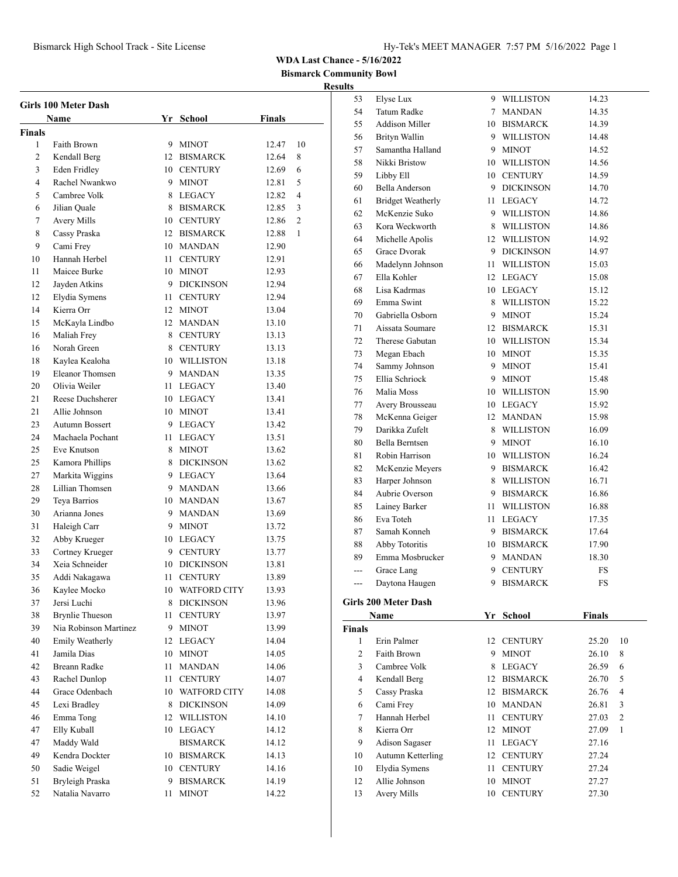**Bismarck Community Bowl**

| Girls 100 Meter Dash |                        |    |                     |        |    |
|----------------------|------------------------|----|---------------------|--------|----|
|                      | Name                   |    | Yr School           | Finals |    |
| Finals               |                        |    |                     |        |    |
| 1                    | Faith Brown            |    | 9 MINOT             | 12.47  | 10 |
| 2                    | Kendall Berg           |    | 12 BISMARCK         | 12.64  | 8  |
| 3                    | <b>Eden Fridley</b>    |    | 10 CENTURY          | 12.69  | 6  |
| 4                    | Rachel Nwankwo         | 9  | <b>MINOT</b>        | 12.81  | 5  |
| 5                    | Cambree Volk           |    | 8 LEGACY            | 12.82  | 4  |
| 6                    | Jilian Quale           |    | 8 BISMARCK          | 12.85  | 3  |
| 7                    | Avery Mills            |    | 10 CENTURY          | 12.86  | 2  |
| 8                    | Cassy Praska           |    | 12 BISMARCK         | 12.88  | 1  |
| 9                    | Cami Frey              |    | 10 MANDAN           | 12.90  |    |
| 10                   | Hannah Herbel          |    | 11 CENTURY          | 12.91  |    |
| 11                   | Maicee Burke           |    | 10 MINOT            | 12.93  |    |
| 12                   | Jayden Atkins          |    | 9 DICKINSON         | 12.94  |    |
| 12                   | Elydia Symens          |    | 11 CENTURY          | 12.94  |    |
| 14                   | Kierra Orr             |    | 12 MINOT            | 13.04  |    |
| 15                   | McKayla Lindbo         |    | 12 MANDAN           | 13.10  |    |
| 16                   | Maliah Frey            |    | 8 CENTURY           | 13.13  |    |
| 16                   | Norah Green            |    | 8 CENTURY           | 13.13  |    |
| 18                   | Kaylea Kealoha         |    | 10 WILLISTON        | 13.18  |    |
| 19                   | Eleanor Thomsen        |    | 9 MANDAN            | 13.35  |    |
| 20                   | Olivia Weiler          |    | 11 LEGACY           | 13.40  |    |
| 21                   | Reese Duchsherer       |    | 10 LEGACY           | 13.41  |    |
| 21                   | Allie Johnson          |    | 10 MINOT            | 13.41  |    |
| 23                   | Autumn Bossert         |    | 9 LEGACY            | 13.42  |    |
| 24                   | Machaela Pochant       |    | 11 LEGACY           | 13.51  |    |
| 25                   | Eve Knutson            |    | 8 MINOT             | 13.62  |    |
| 25                   | Kamora Phillips        |    | 8 DICKINSON         | 13.62  |    |
| 27                   | Markita Wiggins        |    | 9 LEGACY            | 13.64  |    |
| 28                   | Lillian Thomsen        |    | 9 MANDAN            | 13.66  |    |
| 29                   | Teya Barrios           |    | 10 MANDAN           | 13.67  |    |
| 30                   | Arianna Jones          |    | 9 MANDAN            | 13.69  |    |
| 31                   | Haleigh Carr           |    | 9 MINOT             | 13.72  |    |
| 32                   | Abby Krueger           |    | 10 LEGACY           | 13.75  |    |
| 33                   | Cortney Krueger        |    | 9 CENTURY           | 13.77  |    |
| 34                   | Xeia Schneider         |    | 10 DICKINSON        | 13.81  |    |
| 35                   | Addi Nakagawa          |    | 11 CENTURY          | 13.89  |    |
| 36                   | Kaylee Mocko           |    | 10 WATFORD CITY     | 13.93  |    |
| 37                   | Jersi Luchi            |    | 8 DICKINSON         | 13.96  |    |
| 38                   | <b>Brynlie</b> Thueson | 11 | <b>CENTURY</b>      | 13.97  |    |
| 39                   | Nia Robinson Martinez  | 9. | <b>MINOT</b>        | 13.99  |    |
| 40                   | Emily Weatherly        | 12 | LEGACY              | 14.04  |    |
| 41                   | Jamila Dias            | 10 | <b>MINOT</b>        | 14.05  |    |
| 42                   | Breann Radke           | 11 | <b>MANDAN</b>       | 14.06  |    |
| 43                   | Rachel Dunlop          | 11 | <b>CENTURY</b>      | 14.07  |    |
| 44                   | Grace Odenbach         | 10 | <b>WATFORD CITY</b> | 14.08  |    |
| 45                   | Lexi Bradley           |    | 8 DICKINSON         | 14.09  |    |
| 46                   | Emma Tong              |    | 12 WILLISTON        | 14.10  |    |
| 47                   | Elly Kuball            |    | 10 LEGACY           | 14.12  |    |
| 47                   | Maddy Wald             |    | <b>BISMARCK</b>     | 14.12  |    |
| 49                   | Kendra Dockter         |    | 10 BISMARCK         | 14.13  |    |
| 50                   | Sadie Weigel           |    | 10 CENTURY          | 14.16  |    |
| 51                   | Bryleigh Praska        | 9. | <b>BISMARCK</b>     | 14.19  |    |
| 52                   | Natalia Navarro        | 11 | <b>MINOT</b>        | 14.22  |    |
|                      |                        |    |                     |        |    |

|                    | Elyse Lux                      |      | 9 WILLISTON              | 14.23          |        |
|--------------------|--------------------------------|------|--------------------------|----------------|--------|
| 54                 | <b>Tatum Radke</b>             | 7    | <b>MANDAN</b>            | 14.35          |        |
| 55                 | <b>Addison Miller</b>          |      | 10 BISMARCK              | 14.39          |        |
| 56                 | Brityn Wallin                  |      | 9 WILLISTON              | 14.48          |        |
| 57                 | Samantha Halland               |      | 9 MINOT                  | 14.52          |        |
| 58                 | Nikki Bristow                  |      | 10 WILLISTON             | 14.56          |        |
| 59                 | Libby Ell                      |      | 10 CENTURY               | 14.59          |        |
| 60                 | Bella Anderson                 |      | 9 DICKINSON              | 14.70          |        |
| 61                 | <b>Bridget Weatherly</b>       |      | 11 LEGACY                | 14.72          |        |
| 62                 | McKenzie Suko                  |      | 9 WILLISTON              | 14.86          |        |
| 63                 | Kora Weckworth                 |      | 8 WILLISTON              | 14.86          |        |
| 64                 | Michelle Apolis                |      | 12 WILLISTON             | 14.92          |        |
| 65                 | Grace Dvorak                   |      | 9 DICKINSON              | 14.97          |        |
| 66                 | Madelynn Johnson               |      | 11 WILLISTON             | 15.03          |        |
| 67                 | Ella Kohler                    |      | 12 LEGACY                | 15.08          |        |
| 68                 | Lisa Kadrmas                   |      | 10 LEGACY                | 15.12          |        |
| 69                 | Emma Swint                     |      | 8 WILLISTON              | 15.22          |        |
| 70                 | Gabriella Osborn               |      | 9 MINOT                  | 15.24          |        |
| 71                 | Aissata Soumare                |      | 12 BISMARCK              | 15.31          |        |
| 72                 | Therese Gabutan                |      | 10 WILLISTON             | 15.34          |        |
| 73                 | Megan Ebach                    |      | 10 MINOT                 | 15.35          |        |
| 74                 | Sammy Johnson                  |      | 9 MINOT                  | 15.41          |        |
| 75                 | Ellia Schriock                 |      | 9 MINOT                  | 15.48          |        |
| 76                 | Malia Moss                     |      | 10 WILLISTON             | 15.90          |        |
| 77                 | Avery Brousseau                |      | 10 LEGACY                | 15.92          |        |
| 78                 | McKenna Geiger                 |      | 12 MANDAN                | 15.98          |        |
| 79                 | Darikka Zufelt                 |      | 8 WILLISTON              | 16.09          |        |
| 80                 | Bella Berntsen                 |      | 9 MINOT                  | 16.10          |        |
| 81                 | Robin Harrison                 |      | 10 WILLISTON             | 16.24          |        |
| 82                 | McKenzie Meyers                |      | 9 BISMARCK               | 16.42          |        |
|                    |                                |      |                          |                |        |
| 83                 | Harper Johnson                 |      | 8 WILLISTON              | 16.71          |        |
| 84                 | Aubrie Overson                 |      | 9 BISMARCK               | 16.86          |        |
| 85                 | Lainey Barker                  |      | 11 WILLISTON             | 16.88          |        |
| 86                 | Eva Toteh                      |      | 11 LEGACY                | 17.35          |        |
| 87                 | Samah Konneh                   |      | 9 BISMARCK               | 17.64          |        |
| 88                 | Abby Totoritis                 |      | 10 BISMARCK              | 17.90          |        |
| 89                 | Emma Mosbrucker                |      | 9 MANDAN                 | 18.30          |        |
| ---                | Grace Lang                     | 9.   | <b>CENTURY</b>           | FS             |        |
| ---                | Daytona Haugen                 | 9    | <b>BISMARCK</b>          | FS             |        |
|                    |                                |      |                          |                |        |
|                    | Girls 200 Meter Dash           |      |                          |                |        |
|                    | Name                           |      | Yr School                | <b>Finals</b>  |        |
| <b>Finals</b><br>1 | Erin Palmer                    | 12   |                          |                |        |
| $\overline{c}$     | Faith Brown                    | 9    | <b>CENTURY</b>           | 25.20          | 10     |
| 3                  | Cambree Volk                   | 8    | <b>MINOT</b>             | 26.10          | 8      |
|                    |                                |      | LEGACY                   | 26.59          | 6      |
| 4                  | Kendall Berg                   |      | 12 BISMARCK              | 26.70          | 5      |
| 5<br>6             | Cassy Praska                   |      | 12 BISMARCK<br>10 MANDAN | 26.76<br>26.81 | 4<br>3 |
| 7                  | Cami Frey<br>Hannah Herbel     | 11 - | <b>CENTURY</b>           | 27.03          | 2      |
| 8                  | Kierra Orr                     |      | 12 MINOT                 | 27.09          | 1      |
| 9                  |                                | 11   | LEGACY                   | 27.16          |        |
|                    | Adison Sagaser                 | 12   | <b>CENTURY</b>           | 27.24          |        |
| 10<br>10           | Autumn Ketterling              | 11 - | <b>CENTURY</b>           | 27.24          |        |
| 12                 | Elydia Symens<br>Allie Johnson |      | 10 MINOT                 | 27.27          |        |
| 13                 | Avery Mills                    | 10   | <b>CENTURY</b>           | 27.30          |        |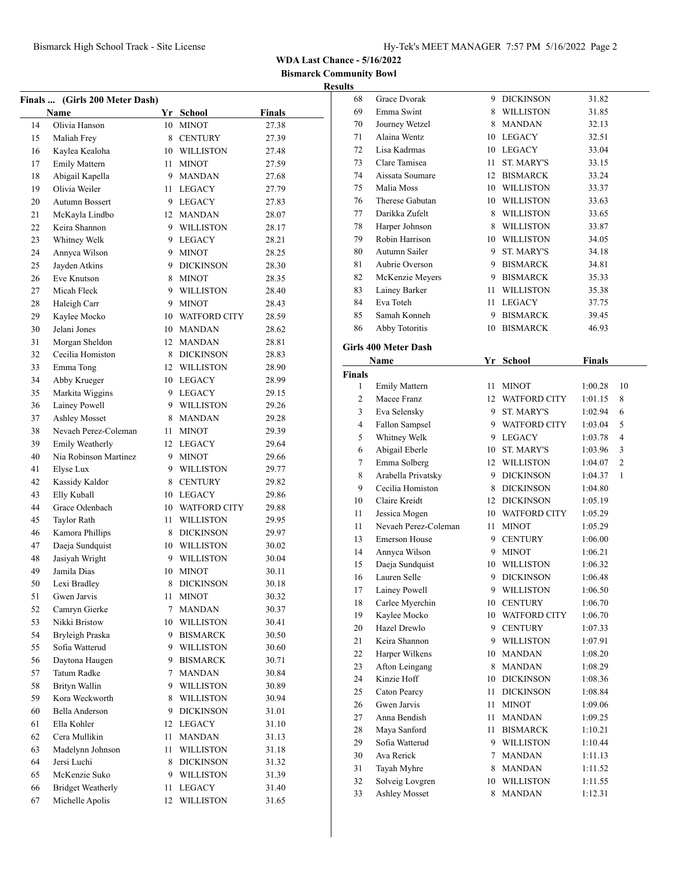**Bismarck Community Bowl Results**

|    | Finals  (Girls 200 Meter Dash)<br>Name |    | Yr School        | <b>Finals</b> |  |
|----|----------------------------------------|----|------------------|---------------|--|
| 14 | Olivia Hanson                          | 10 | <b>MINOT</b>     | 27.38         |  |
| 15 | Maliah Frey                            |    | 8 CENTURY        | 27.39         |  |
| 16 | Kaylea Kealoha                         |    | 10 WILLISTON     |               |  |
| 17 |                                        | 11 | <b>MINOT</b>     | 27.48         |  |
|    | <b>Emily Mattern</b>                   |    |                  | 27.59         |  |
| 18 | Abigail Kapella                        |    | 9 MANDAN         | 27.68         |  |
| 19 | Olivia Weiler                          | 11 | LEGACY           | 27.79         |  |
| 20 | <b>Autumn Bossert</b>                  |    | 9 LEGACY         | 27.83         |  |
| 21 | McKayla Lindbo                         |    | 12 MANDAN        | 28.07         |  |
| 22 | Keira Shannon                          |    | 9 WILLISTON      | 28.17         |  |
| 23 | Whitney Welk                           |    | 9 LEGACY         | 28.21         |  |
| 24 | Annyca Wilson                          |    | 9 MINOT          | 28.25         |  |
| 25 | Jayden Atkins                          |    | 9 DICKINSON      | 28.30         |  |
| 26 | Eve Knutson                            | 8  | <b>MINOT</b>     | 28.35         |  |
| 27 | Micah Fleck                            |    | 9 WILLISTON      | 28.40         |  |
| 28 | Haleigh Carr                           |    | 9 MINOT          | 28.43         |  |
| 29 | Kaylee Mocko                           |    | 10 WATFORD CITY  | 28.59         |  |
| 30 | Jelani Jones                           |    | 10 MANDAN        | 28.62         |  |
| 31 | Morgan Sheldon                         |    | 12 MANDAN        | 28.81         |  |
| 32 | Cecilia Homiston                       |    | 8 DICKINSON      | 28.83         |  |
| 33 | Emma Tong                              |    | 12 WILLISTON     | 28.90         |  |
| 34 | Abby Krueger                           |    | 10 LEGACY        | 28.99         |  |
| 35 | Markita Wiggins                        |    | 9 LEGACY         | 29.15         |  |
| 36 | Lainey Powell                          |    | 9 WILLISTON      | 29.26         |  |
| 37 | <b>Ashley Mosset</b>                   |    | 8 MANDAN         | 29.28         |  |
| 38 | Nevaeh Perez-Coleman                   |    | 11 MINOT         | 29.39         |  |
| 39 | Emily Weatherly                        |    | 12 LEGACY        | 29.64         |  |
| 40 | Nia Robinson Martinez                  |    | 9 MINOT          | 29.66         |  |
| 41 | Elyse Lux                              |    | 9 WILLISTON      | 29.77         |  |
| 42 | Kassidy Kaldor                         | 8  | <b>CENTURY</b>   | 29.82         |  |
| 43 | Elly Kuball                            |    | 10 LEGACY        | 29.86         |  |
| 44 | Grace Odenbach                         |    | 10 WATFORD CITY  | 29.88         |  |
| 45 | <b>Taylor Rath</b>                     | 11 | <b>WILLISTON</b> | 29.95         |  |
| 46 | Kamora Phillips                        |    | 8 DICKINSON      | 29.97         |  |
| 47 | Daeja Sundquist                        |    | 10 WILLISTON     | 30.02         |  |
| 48 | Jasiyah Wright                         |    | 9 WILLISTON      | 30.04         |  |
| 49 | Jamila Dias                            |    | 10 MINOT         | 30.11         |  |
| 50 | Lexi Bradley                           |    | 8 DICKINSON      | 30.18         |  |
| 51 | Gwen Jarvis                            | 11 | MINOT            | 30.32         |  |
| 52 | Camryn Gierke                          | 7  | MANDAN           | 30.37         |  |
| 53 | Nikki Bristow                          |    | 10 WILLISTON     | 30.41         |  |
| 54 | Bryleigh Praska                        | 9. | <b>BISMARCK</b>  | 30.50         |  |
| 55 | Sofia Watterud                         |    | 9 WILLISTON      | 30.60         |  |
| 56 | Daytona Haugen                         | 9. | <b>BISMARCK</b>  | 30.71         |  |
| 57 | <b>Tatum Radke</b>                     | 7  | <b>MANDAN</b>    | 30.84         |  |
| 58 | <b>Brityn Wallin</b>                   | 9  | <b>WILLISTON</b> | 30.89         |  |
| 59 | Kora Weckworth                         | 8  | <b>WILLISTON</b> | 30.94         |  |
| 60 | <b>Bella Anderson</b>                  | 9  | <b>DICKINSON</b> | 31.01         |  |
| 61 | Ella Kohler                            |    | 12 LEGACY        | 31.10         |  |
| 62 | Cera Mullikin                          | 11 | <b>MANDAN</b>    | 31.13         |  |
|    |                                        |    |                  |               |  |
| 63 | Madelynn Johnson                       | 11 | <b>WILLISTON</b> | 31.18         |  |
| 64 | Jersi Luchi                            | 8  | <b>DICKINSON</b> | 31.32         |  |
| 65 | McKenzie Suko                          | 9  | <b>WILLISTON</b> | 31.39         |  |
| 66 | <b>Bridget Weatherly</b>               | 11 | LEGACY           | 31.40         |  |
| 67 | Michelle Apolis                        | 12 | <b>WILLISTON</b> | 31.65         |  |

| 68            | Grace Dvorak         | 9   | <b>DICKINSON</b> | 31.82         |                |
|---------------|----------------------|-----|------------------|---------------|----------------|
| 69            | Emma Swint           | 8   | <b>WILLISTON</b> | 31.85         |                |
| 70            | Journey Wetzel       | 8   | <b>MANDAN</b>    | 32.13         |                |
| 71            | Alaina Wentz         | 10  | LEGACY           | 32.51         |                |
| 72            | Lisa Kadrmas         | 10  | LEGACY           | 33.04         |                |
| 73            | Clare Tamisea        | 11. | ST. MARY'S       | 33.15         |                |
| 74            | Aissata Soumare      |     | 12 BISMARCK      | 33.24         |                |
| 75            | Malia Moss           |     | 10 WILLISTON     | 33.37         |                |
| 76            | Therese Gabutan      |     | 10 WILLISTON     | 33.63         |                |
| 77            | Darikka Zufelt       | 8   | WILLISTON        | 33.65         |                |
| 78            | Harper Johnson       | 8   | <b>WILLISTON</b> | 33.87         |                |
| 79            | Robin Harrison       | 10  | <b>WILLISTON</b> | 34.05         |                |
| 80            | Autumn Sailer        | 9   | ST. MARY'S       | 34.18         |                |
| 81            | Aubrie Overson       | 9   | <b>BISMARCK</b>  | 34.81         |                |
| 82            | McKenzie Meyers      |     | 9 BISMARCK       | 35.33         |                |
|               |                      |     |                  |               |                |
| 83            | Lainey Barker        | 11  | <b>WILLISTON</b> | 35.38         |                |
| 84            | Eva Toteh            | 11  | LEGACY           | 37.75         |                |
| 85            | Samah Konneh         |     | 9 BISMARCK       | 39.45         |                |
| 86            | Abby Totoritis       |     | 10 BISMARCK      | 46.93         |                |
|               | Girls 400 Meter Dash |     |                  |               |                |
|               | Name                 |     | Yr School        | <b>Finals</b> |                |
| <b>Finals</b> |                      |     |                  |               |                |
| 1             | <b>Emily Mattern</b> | 11  | <b>MINOT</b>     | 1:00.28       | 10             |
| 2             | Macee Franz          |     | 12 WATFORD CITY  | 1:01.15       | 8              |
| 3             | Eva Selensky         | 9   | ST. MARY'S       | 1:02.94       | 6              |
| 4             | Fallon Sampsel       |     | 9 WATFORD CITY   | 1:03.04       | 5              |
| 5             | Whitney Welk         | 9.  | LEGACY           | 1:03.78       | 4              |
| 6             | Abigail Eberle       | 10  | ST. MARY'S       | 1:03.96       | 3              |
| 7             | Emma Solberg         | 12  | <b>WILLISTON</b> | 1:04.07       | $\overline{2}$ |
| 8             | Arabella Privatsky   | 9   | <b>DICKINSON</b> | 1:04.37       | 1              |
| 9             | Cecilia Homiston     | 8   | <b>DICKINSON</b> | 1:04.80       |                |
| 10            | Claire Kreidt        |     | 12 DICKINSON     | 1:05.19       |                |
| 11            | Jessica Mogen        |     | 10 WATFORD CITY  | 1:05.29       |                |
| 11            | Nevaeh Perez-Coleman | 11  | <b>MINOT</b>     | 1:05.29       |                |
|               | <b>Emerson House</b> |     |                  |               |                |
| 13            |                      |     | 9 CENTURY        | 1:06.00       |                |
| 14            | Annyca Wilson        | 9   | <b>MINOT</b>     | 1:06.21       |                |
| 15            | Daeja Sundquist      | 10  | <b>WILLISTON</b> | 1:06.32       |                |
| 16            | Lauren Selle         | 9   | <b>DICKINSON</b> | 1:06.48       |                |
| 17            | Lainey Powell        | 9   | WILLISTON        | 1:06.50       |                |
| 18            | Carlee Myerchin      | 10  | <b>CENTURY</b>   | 1:06.70       |                |
| 19            | Kaylee Mocko         | 10  | WATFORD CITY     | 1:06.70       |                |
| 20            | Hazel Drewlo         | 9   | <b>CENTURY</b>   | 1:07.33       |                |
| 21            | Keira Shannon        | 9   | <b>WILLISTON</b> | 1:07.91       |                |
| 22            | Harper Wilkens       | 10  | <b>MANDAN</b>    | 1:08.20       |                |
| 23            | Afton Leingang       | 8   | MANDAN           | 1:08.29       |                |
| 24            | Kinzie Hoff          | 10  | <b>DICKINSON</b> | 1:08.36       |                |
| 25            | Caton Pearcy         | 11  | <b>DICKINSON</b> | 1:08.84       |                |
| 26            | Gwen Jarvis          | 11  | MINOT            | 1:09.06       |                |
| 27            | Anna Bendish         | 11  | <b>MANDAN</b>    | 1:09.25       |                |
| 28            | Maya Sanford         | 11  | <b>BISMARCK</b>  | 1:10.21       |                |
| 29            | Sofia Watterud       | 9   | <b>WILLISTON</b> | 1:10.44       |                |
| 30            | Ava Rerick           | 7   | <b>MANDAN</b>    | 1:11.13       |                |
| 31            | Tayah Myhre          | 8   | <b>MANDAN</b>    | 1:11.52       |                |
| 32            | Solveig Lovgren      | 10  | WILLISTON        | 1:11.55       |                |
| 33            | Ashley Mosset        | 8   | <b>MANDAN</b>    | 1:12.31       |                |
|               |                      |     |                  |               |                |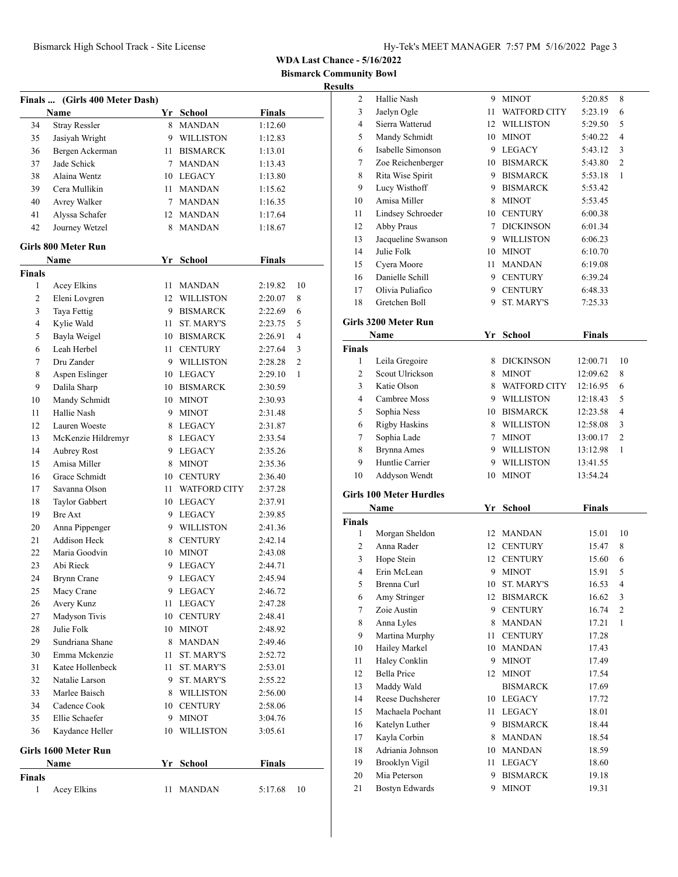**munity Bowl** 

|                |                                |             |                      |               | <b>Bismarck Comm</b> | <b>Result</b> |
|----------------|--------------------------------|-------------|----------------------|---------------|----------------------|---------------|
|                | Finals  (Girls 400 Meter Dash) |             |                      |               |                      |               |
|                | Name                           |             | Yr School            | <b>Finals</b> |                      |               |
| 34             | <b>Stray Ressler</b>           | 8.          | <b>MANDAN</b>        | 1:12.60       |                      |               |
| 35             | Jasiyah Wright                 | 9           | <b>WILLISTON</b>     | 1:12.83       |                      |               |
| 36             | Bergen Ackerman                |             | 11 BISMARCK          | 1:13.01       |                      |               |
| 37             | Jade Schick                    | $7^{\circ}$ | <b>MANDAN</b>        | 1:13.43       |                      |               |
| 38             | Alaina Wentz                   |             | 10 LEGACY            | 1:13.80       |                      |               |
| 39             | Cera Mullikin                  |             | 11 MANDAN            | 1:15.62       |                      |               |
| 40             | Avrey Walker                   | $7^{\circ}$ | <b>MANDAN</b>        | 1:16.35       |                      |               |
| 41             | Alyssa Schafer                 |             | 12 MANDAN            | 1:17.64       |                      |               |
| 42             | Journey Wetzel                 | 8           | <b>MANDAN</b>        | 1:18.67       |                      |               |
|                | Girls 800 Meter Run            |             |                      |               |                      |               |
|                | Name                           |             | Yr School            | <b>Finals</b> |                      |               |
| Finals         |                                |             |                      |               |                      |               |
| 1              | Acey Elkins                    | 11          | <b>MANDAN</b>        | 2:19.82       | 10                   |               |
| 2              | Eleni Lovgren                  | 12          | WILLISTON            | 2:20.07       | 8                    |               |
| 3              | Taya Fettig                    |             | 9 BISMARCK           | 2:22.69       | 6                    |               |
| $\overline{4}$ | Kylie Wald                     | 11          | <b>ST. MARY'S</b>    | 2:23.75       | 5                    | G             |
| 5              | Bayla Weigel                   |             | 10 BISMARCK          | 2:26.91       | $\overline{4}$       |               |
| 6              | Leah Herbel                    |             | 11 CENTURY           | 2:27.64       | 3                    | Fi            |
| 7              | Dru Zander                     |             | 9 WILLISTON          | 2:28.28       | $\overline{c}$       |               |
| 8              | Aspen Eslinger                 |             | 10 LEGACY            | 2:29.10       | 1                    |               |
| 9              | Dalila Sharp                   |             | 10 BISMARCK          | 2:30.59       |                      |               |
| 10             | Mandy Schmidt                  | 10          | <b>MINOT</b>         | 2:30.93       |                      |               |
| 11             | Hallie Nash                    | 9           | <b>MINOT</b>         | 2:31.48       |                      |               |
| 12             | Lauren Woeste                  | 8           | LEGACY               | 2:31.87       |                      |               |
| 13             | McKenzie Hildremyr             |             | 8 LEGACY             | 2:33.54       |                      |               |
| 14             | <b>Aubrey Rost</b>             | 9.          | LEGACY               | 2:35.26       |                      |               |
| 15             | Amisa Miller                   | 8           | <b>MINOT</b>         | 2:35.36       |                      |               |
| 16             | Grace Schmidt                  |             | 10 CENTURY           | 2:36.40       |                      |               |
| 17             | Savanna Olson                  |             | 11 WATFORD CITY      | 2:37.28       |                      |               |
| 18             | Taylor Gabbert                 |             | 10 LEGACY            | 2:37.91       |                      | G             |
| 19             | <b>Bre Axt</b>                 |             | 9 LEGACY             | 2:39.85       |                      |               |
| 20             | Anna Pippenger                 |             | 9 WILLISTON          | 2:41.36       |                      | Fi            |
| 21             | <b>Addison Heck</b>            | 8           | <b>CENTURY</b>       | 2:42.14       |                      |               |
| 22             | Maria Goodvin                  | 10          | <b>MINOT</b>         | 2:43.08       |                      |               |
| 23             | Abi Rieck                      | 9           | <b>LEGACY</b>        | 2:44.71       |                      |               |
| 24             | Brynn Crane                    | 9           | <b>LEGACY</b>        | 2:45.94       |                      |               |
| 25             | Macy Crane                     | 9           | <b>LEGACY</b>        | 2:46.72       |                      |               |
| 26             | Avery Kunz                     | 11          | LEGACY               | 2:47.28       |                      |               |
| 27             | Madyson Tivis                  | 10          | <b>CENTURY</b>       | 2:48.41       |                      |               |
| 28             | Julie Folk                     | 10          | <b>MINOT</b>         |               |                      |               |
| 29             | Sundriana Shane                |             |                      | 2:48.92       |                      |               |
| 30             | Emma Mckenzie                  | 8           | MANDAN<br>ST. MARY'S | 2:49.46       |                      |               |
|                |                                | 11          |                      | 2:52.72       |                      |               |
| 31             | Katee Hollenbeck               | 11          | ST. MARY'S           | 2:53.01       |                      |               |
| 32             | Natalie Larson                 | 9           | ST. MARY'S           | 2:55.22       |                      |               |
| 33             | Marlee Baisch                  | 8           | WILLISTON            | 2:56.00       |                      |               |
| 34             | Cadence Cook                   | 10          | <b>CENTURY</b>       | 2:58.06       |                      |               |

### **Girls 1600 Meter Run**

|                               | Name        | Yr School | <b>Finals</b> |      |
|-------------------------------|-------------|-----------|---------------|------|
| <b>Finals</b><br>$\mathbf{1}$ | Acey Elkins | 11 MANDAN | 5:17.68       | - 10 |

 Ellie Schaefer 9 MINOT 3:04.76 Kaydance Heller 10 WILLISTON 3:05.61

| .s |                    |    |                     |         |                |  |
|----|--------------------|----|---------------------|---------|----------------|--|
| 2  | Hallie Nash        | 9  | <b>MINOT</b>        | 5:20.85 | 8              |  |
| 3  | Jaelyn Ogle        | 11 | <b>WATFORD CITY</b> | 5:23.19 | 6              |  |
| 4  | Sierra Watterud    | 12 | <b>WILLISTON</b>    | 5:29.50 | 5              |  |
| 5  | Mandy Schmidt      | 10 | <b>MINOT</b>        | 5:40.22 | $\overline{4}$ |  |
| 6  | Isabelle Simonson  | 9  | LEGACY              | 5:43.12 | 3              |  |
| 7  | Zoe Reichenberger  | 10 | <b>BISMARCK</b>     | 5:43.80 | $\overline{2}$ |  |
| 8  | Rita Wise Spirit   | 9  | <b>BISMARCK</b>     | 5:53.18 | 1              |  |
| 9  | Lucy Wisthoff      | 9  | <b>BISMARCK</b>     | 5:53.42 |                |  |
| 10 | Amisa Miller       | 8  | <b>MINOT</b>        | 5:53.45 |                |  |
| 11 | Lindsey Schroeder  | 10 | <b>CENTURY</b>      | 6:00.38 |                |  |
| 12 | Abby Praus         | 7  | <b>DICKINSON</b>    | 6:01.34 |                |  |
| 13 | Jacqueline Swanson | 9  | <b>WILLISTON</b>    | 6:06.23 |                |  |
| 14 | Julie Folk         | 10 | <b>MINOT</b>        | 6:10.70 |                |  |
| 15 | Cyera Moore        | 11 | <b>MANDAN</b>       | 6:19.08 |                |  |
| 16 | Danielle Schill    | 9  | <b>CENTURY</b>      | 6:39.24 |                |  |
| 17 | Olivia Puliafico   | 9  | <b>CENTURY</b>      | 6:48.33 |                |  |
| 18 | Gretchen Boll      | 9  | <b>ST. MARY'S</b>   | 7:25.33 |                |  |

### **Girls 3200 Meter Run**

| Name   |                      | Yr | <b>School</b>       | <b>Finals</b> |                |
|--------|----------------------|----|---------------------|---------------|----------------|
| `inals |                      |    |                     |               |                |
| 1      | Leila Gregoire       | 8  | <b>DICKINSON</b>    | 12:00.71      | 10             |
| 2      | Scout Ulrickson      | 8  | <b>MINOT</b>        | 12:09.62      | 8              |
| 3      | Katie Olson          | 8  | <b>WATFORD CITY</b> | 12:16.95      | 6              |
| 4      | Cambree Moss         | 9  | <b>WILLISTON</b>    | 12:18.43      | 5              |
| 5      | Sophia Ness          | 10 | <b>BISMARCK</b>     | 12:23.58      | 4              |
| 6      | <b>Rigby Haskins</b> | 8  | <b>WILLISTON</b>    | 12:58.08      | 3              |
| 7      | Sophia Lade          |    | <b>MINOT</b>        | 13:00.17      | $\overline{2}$ |
| 8      | Brynna Ames          | 9  | <b>WILLISTON</b>    | 13:12.98      | 1              |
| 9      | Huntlie Carrier      | 9  | WILLISTON           | 13:41.55      |                |
| 10     | Addyson Wendt        | 10 | <b>MINOT</b>        | 13:54.24      |                |

## **Girls 100 Meter Hurdles**

|        | Name                  | Yr | <b>School</b>     | <b>Finals</b> |                |
|--------|-----------------------|----|-------------------|---------------|----------------|
| Finals |                       |    |                   |               |                |
| 1      | Morgan Sheldon        | 12 | <b>MANDAN</b>     | 15.01         | 10             |
| 2      | Anna Rader            | 12 | <b>CENTURY</b>    | 15.47         | 8              |
| 3      | Hope Stein            | 12 | <b>CENTURY</b>    | 15.60         | 6              |
| 4      | Erin McLean           | 9  | <b>MINOT</b>      | 15.91         | 5              |
| 5      | Brenna Curl           | 10 | <b>ST. MARY'S</b> | 16.53         | 4              |
| 6      | Amy Stringer          | 12 | <b>BISMARCK</b>   | 16.62         | 3              |
| 7      | Zoie Austin           | 9  | <b>CENTURY</b>    | 16.74         | $\overline{c}$ |
| 8      | Anna Lyles            | 8  | <b>MANDAN</b>     | 17.21         | 1              |
| 9      | Martina Murphy        | 11 | <b>CENTURY</b>    | 17.28         |                |
| 10     | Hailey Markel         | 10 | <b>MANDAN</b>     | 17.43         |                |
| 11     | Haley Conklin         | 9  | <b>MINOT</b>      | 17.49         |                |
| 12     | <b>Bella Price</b>    | 12 | <b>MINOT</b>      | 17.54         |                |
| 13     | Maddy Wald            |    | <b>BISMARCK</b>   | 17.69         |                |
| 14     | Reese Duchsherer      | 10 | <b>LEGACY</b>     | 17.72         |                |
| 15     | Machaela Pochant      | 11 | LEGACY            | 18.01         |                |
| 16     | Katelyn Luther        | 9  | <b>BISMARCK</b>   | 18.44         |                |
| 17     | Kayla Corbin          | 8  | <b>MANDAN</b>     | 18.54         |                |
| 18     | Adriania Johnson      | 10 | <b>MANDAN</b>     | 18.59         |                |
| 19     | Brooklyn Vigil        | 11 | <b>LEGACY</b>     | 18.60         |                |
| 20     | Mia Peterson          | 9  | <b>BISMARCK</b>   | 19.18         |                |
| 21     | <b>Bostyn Edwards</b> | 9  | <b>MINOT</b>      | 19.31         |                |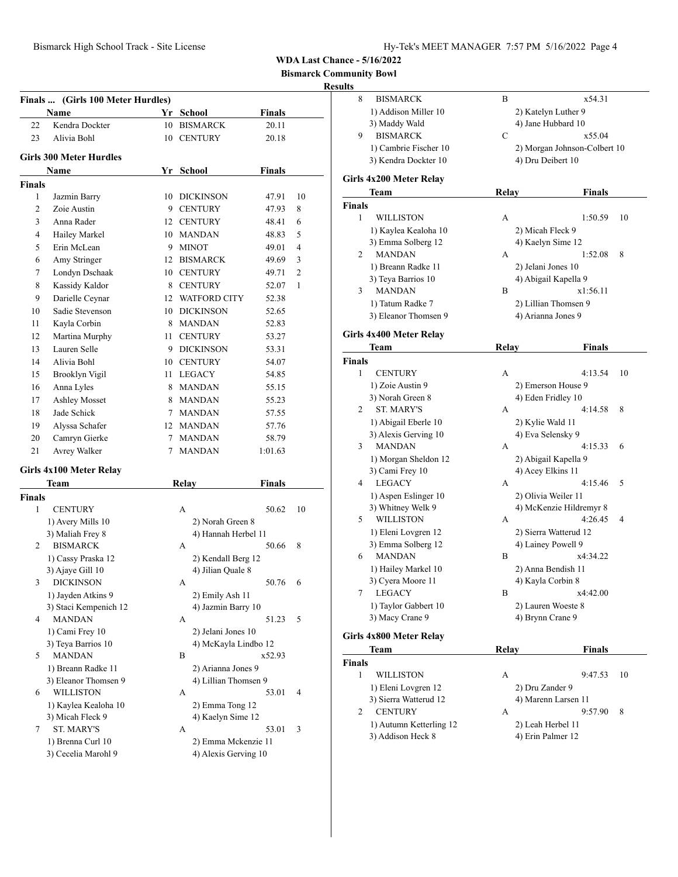**Bismarck Community Bowl**

#### **Results**

|                | Finals  (Girls 100 Meter Hurdles)  |   |                      |                |                |
|----------------|------------------------------------|---|----------------------|----------------|----------------|
|                | Name                               |   | Yr School            | <b>Finals</b>  |                |
| 22             | Kendra Dockter                     |   | 10 BISMARCK          | 20.11          |                |
| 23             | Alivia Bohl                        |   | 10 CENTURY           | 20.18          |                |
|                | <b>Girls 300 Meter Hurdles</b>     |   |                      |                |                |
|                | Name                               |   | Yr School            | <b>Finals</b>  |                |
| Finals         |                                    |   |                      |                |                |
| 1              | Jazmin Barry                       |   | 10 DICKINSON         | 47.91          | 10             |
| $\overline{2}$ | Zoie Austin                        |   | 9 CENTURY            | 47.93          | 8              |
| 3              | Anna Rader                         |   | 12 CENTURY           | 48.41          | 6              |
| $\overline{4}$ | Hailey Markel                      |   | 10 MANDAN            | 48.83          | 5              |
| 5              | Erin McLean                        | 9 | <b>MINOT</b>         | 49.01          | 4              |
| 6              | Amy Stringer                       |   | 12 BISMARCK          | 49.69          | 3              |
| 7              | Londyn Dschaak                     |   | 10 CENTURY           | 49.71          | $\overline{2}$ |
| 8              | Kassidy Kaldor                     |   | 8 CENTURY            | 52.07          | 1              |
| 9              |                                    |   | 12 WATFORD CITY      |                |                |
|                | Darielle Ceynar<br>Sadie Stevenson |   |                      | 52.38<br>52.65 |                |
| 10             |                                    |   | 10 DICKINSON         |                |                |
| 11             | Kayla Corbin                       |   | 8 MANDAN             | 52.83          |                |
| 12             | Martina Murphy                     |   | 11 CENTURY           | 53.27          |                |
| 13             | Lauren Selle                       |   | 9 DICKINSON          | 53.31          |                |
| 14             | Alivia Bohl                        |   | 10 CENTURY           | 54.07          |                |
| 15             | Brooklyn Vigil                     |   | 11 LEGACY            | 54.85          |                |
| 16             | Anna Lyles                         |   | 8 MANDAN             | 55.15          |                |
| 17             | <b>Ashley Mosset</b>               | 8 | <b>MANDAN</b>        | 55.23          |                |
| 18             | Jade Schick                        |   | 7 MANDAN             | 57.55          |                |
| 19             | Alyssa Schafer                     |   | 12 MANDAN            | 57.76          |                |
| 20             | Camryn Gierke                      |   | 7 MANDAN             | 58.79          |                |
| 21             | Avrey Walker                       |   | 7 MANDAN             | 1:01.63        |                |
|                | Girls 4x100 Meter Relay            |   |                      |                |                |
|                | Team                               |   | <b>Relay</b>         | <b>Finals</b>  |                |
| Finals         |                                    |   |                      |                |                |
| 1              | <b>CENTURY</b>                     |   | A                    | 50.62          | 10             |
|                | 1) Avery Mills 10                  |   | 2) Norah Green 8     |                |                |
|                | 3) Maliah Frey 8                   |   | 4) Hannah Herbel 11  |                |                |
| 2              | <b>BISMARCK</b>                    |   | А                    | 50.66          | 8              |
|                | 1) Cassy Praska 12                 |   | 2) Kendall Berg 12   |                |                |
|                | 3) Ajaye Gill 10                   |   | 4) Jilian Quale 8    |                |                |
|                | 3 DICKINSON                        |   | A                    | 50.76 6        |                |
|                | 1) Jayden Atkins 9                 |   | 2) Emily Ash 11      |                |                |
|                | 3) Staci Kempenich 12              |   | 4) Jazmin Barry 10   |                |                |
| 4              | <b>MANDAN</b>                      |   | А                    | 51.23          | 5              |
|                | 1) Cami Frey 10                    |   | 2) Jelani Jones 10   |                |                |
|                | 3) Teya Barrios 10                 |   | 4) McKayla Lindbo 12 |                |                |
| 5              | <b>MANDAN</b>                      |   | B                    | x52.93         |                |
|                | 1) Breann Radke 11                 |   | 2) Arianna Jones 9   |                |                |
|                | 3) Eleanor Thomsen 9               |   | 4) Lillian Thomsen 9 |                |                |
| 6              | <b>WILLISTON</b>                   |   | А                    | 53.01          | 4              |
|                | 1) Kaylea Kealoha 10               |   | 2) Emma Tong 12      |                |                |
|                | 3) Micah Fleck 9                   |   | 4) Kaelyn Sime 12    |                |                |
| 7              | <b>ST. MARY'S</b>                  |   | А                    | 53.01          | 3              |
|                | 1) Brenna Curl 10                  |   | 2) Emma Mckenzie 11  |                |                |
|                | 3) Cecelia Marohl 9                |   | 4) Alexis Gerving 10 |                |                |
|                |                                    |   |                      |                |                |

| 8             | <b>BISMARCK</b>                              | B            | x54.31                                |    |
|---------------|----------------------------------------------|--------------|---------------------------------------|----|
|               | 1) Addison Miller 10                         |              | 2) Katelyn Luther 9                   |    |
|               | 3) Maddy Wald                                |              | 4) Jane Hubbard 10                    |    |
| 9             | <b>BISMARCK</b>                              | C            | x55.04                                |    |
|               | 1) Cambrie Fischer 10                        |              | 2) Morgan Johnson-Colbert 10          |    |
|               | 3) Kendra Dockter 10                         |              | 4) Dru Deibert 10                     |    |
|               | Girls 4x200 Meter Relay                      |              |                                       |    |
|               | Team                                         | Relay        | Finals                                |    |
| <b>Finals</b> |                                              |              |                                       |    |
| 1             | WILLISTON                                    | А            | 1:50.59                               | 10 |
|               | 1) Kaylea Kealoha 10                         |              | 2) Micah Fleck 9                      |    |
|               | 3) Emma Solberg 12                           |              | 4) Kaelyn Sime 12                     |    |
| 2             | <b>MANDAN</b>                                | A            | 1:52.08                               | 8  |
|               | 1) Breann Radke 11                           |              | 2) Jelani Jones 10                    |    |
|               | 3) Teya Barrios 10                           |              | 4) Abigail Kapella 9                  |    |
| 3             | <b>MANDAN</b>                                | B            | x1:56.11                              |    |
|               | 1) Tatum Radke 7                             |              | 2) Lillian Thomsen 9                  |    |
|               | 3) Eleanor Thomsen 9                         |              | 4) Arianna Jones 9                    |    |
|               |                                              |              |                                       |    |
|               | <b>Girls 4x400 Meter Relay</b>               |              |                                       |    |
|               | Team                                         | <b>Relay</b> | Finals                                |    |
| <b>Finals</b> |                                              |              |                                       |    |
| 1             | <b>CENTURY</b>                               | А            | 4:13.54                               | 10 |
|               | 1) Zoie Austin 9                             |              | 2) Emerson House 9                    |    |
| 2             | 3) Norah Green 8<br><b>ST. MARY'S</b>        | А            | 4) Eden Fridley 10<br>4:14.58         | 8  |
|               |                                              |              |                                       |    |
|               | 1) Abigail Eberle 10<br>3) Alexis Gerving 10 |              | 2) Kylie Wald 11<br>4) Eva Selensky 9 |    |
| 3             | <b>MANDAN</b>                                | А            | 4:15.33                               | 6  |
|               | 1) Morgan Sheldon 12                         |              | 2) Abigail Kapella 9                  |    |
|               | 3) Cami Frey 10                              |              | 4) Acey Elkins 11                     |    |
| 4             | <b>LEGACY</b>                                | А            | 4:15.46                               | 5  |
|               | 1) Aspen Eslinger 10                         |              | 2) Olivia Weiler 11                   |    |
|               | 3) Whitney Welk 9                            |              | 4) McKenzie Hildremyr 8               |    |
| 5             | <b>WILLISTON</b>                             | А            | 4:26.45                               | 4  |
|               | 1) Eleni Lovgren 12                          |              | 2) Sierra Watterud 12                 |    |
|               | 3) Emma Solberg 12                           |              | 4) Lainey Powell 9                    |    |
| 6             | <b>MANDAN</b>                                | B            | x4:34.22                              |    |
|               | 1) Hailey Markel 10                          |              | 2) Anna Bendish 11                    |    |
|               | 3) Cyera Moore 11                            |              | 4) Kayla Corbin 8                     |    |
| 7             | <b>LEGACY</b>                                | B            | x4:42.00                              |    |
|               | 1) Taylor Gabbert 10                         |              | 2) Lauren Woeste 8                    |    |
|               | 3) Macy Crane 9                              |              | 4) Brynn Crane 9                      |    |
|               | Girls 4x800 Meter Relay                      |              |                                       |    |
|               | Team                                         | Relay        | <b>Finals</b>                         |    |
| <b>Finals</b> |                                              |              |                                       |    |
| 1             | WILLISTON                                    | А            | 9:47.53                               | 10 |
|               | 1) Eleni Lovgren 12                          |              | 2) Dru Zander 9                       |    |
|               | 3) Sierra Watterud 12                        |              | 4) Marenn Larsen 11                   |    |
| 2             | <b>CENTURY</b>                               | А            | 9:57.90                               | 8  |
|               |                                              |              | 2) Leah Herbel 11                     |    |
|               |                                              |              |                                       |    |
|               | 1) Autumn Ketterling 12<br>3) Addison Heck 8 |              | 4) Erin Palmer 12                     |    |
|               |                                              |              |                                       |    |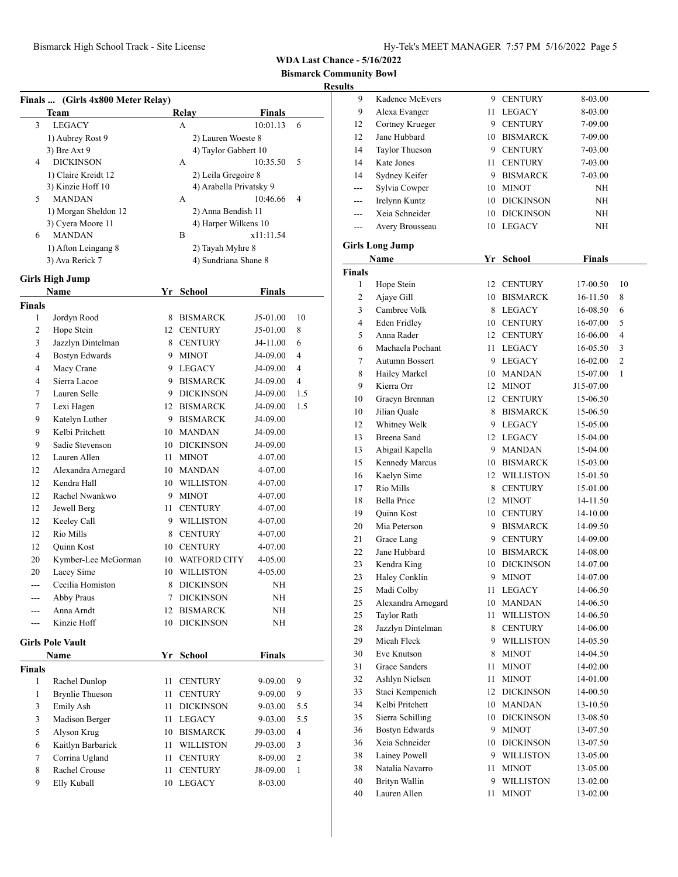**Bismarck Community Bowl**

|                          | Finals  (Girls 4x800 Meter Relay)   |        |                         |               |                |
|--------------------------|-------------------------------------|--------|-------------------------|---------------|----------------|
|                          | Team                                |        | Relay                   | <b>Finals</b> |                |
| 3                        | <b>LEGACY</b>                       |        | А                       | 10:01.13      | 6              |
|                          | 1) Aubrey Rost 9                    |        | 2) Lauren Woeste 8      |               |                |
|                          | 3) Bre Axt 9                        |        | 4) Taylor Gabbert 10    |               |                |
| 4                        | <b>DICKINSON</b>                    |        | A                       | 10:35.50      | 5              |
|                          | 1) Claire Kreidt 12                 |        | 2) Leila Gregoire 8     |               |                |
|                          | 3) Kinzie Hoff 10                   |        | 4) Arabella Privatsky 9 |               |                |
| 5                        | <b>MANDAN</b>                       |        | A                       | 10:46.66      | 4              |
|                          | 1) Morgan Sheldon 12                |        | 2) Anna Bendish 11      |               |                |
|                          | 3) Cyera Moore 11                   |        | 4) Harper Wilkens 10    |               |                |
| 6                        | <b>MANDAN</b>                       |        | B                       | x11:11.54     |                |
|                          | 1) Afton Leingang 8                 |        | 2) Tayah Myhre 8        |               |                |
|                          | 3) Ava Rerick 7                     |        | 4) Sundriana Shane 8    |               |                |
|                          | <b>Girls High Jump</b>              |        |                         |               |                |
|                          | <b>Name</b>                         |        | Yr School               | Finals        |                |
| Finals                   |                                     |        |                         |               |                |
| 1                        | Jordyn Rood                         | 8      | <b>BISMARCK</b>         | J5-01.00      | 10             |
| $\overline{c}$           | Hope Stein                          |        | 12 CENTURY              | J5-01.00      | 8              |
| 3                        | Jazzlyn Dintelman                   |        | 8 CENTURY               | J4-11.00      | 6              |
| $\overline{\mathcal{L}}$ | <b>Bostyn Edwards</b>               |        | 9 MINOT                 | J4-09.00      | $\overline{4}$ |
| $\overline{\mathcal{L}}$ | Macy Crane                          |        | 9 LEGACY                | J4-09.00      | $\overline{4}$ |
| 4                        | Sierra Lacoe                        |        | 9 BISMARCK              | J4-09.00      | $\overline{4}$ |
| 7                        | Lauren Selle                        |        | 9 DICKINSON             | J4-09.00      | 1.5            |
| 7                        | Lexi Hagen                          |        | 12 BISMARCK             | J4-09.00      | 1.5            |
| 9                        | Katelyn Luther                      |        | 9 BISMARCK              | J4-09.00      |                |
| 9                        | Kelbi Pritchett                     |        | 10 MANDAN               | J4-09.00      |                |
| 9                        | Sadie Stevenson                     |        | 10 DICKINSON            | J4-09.00      |                |
| 12                       | Lauren Allen                        | 11     | <b>MINOT</b>            | 4-07.00       |                |
| 12                       | Alexandra Arnegard                  |        | 10 MANDAN               | 4-07.00       |                |
| 12                       | Kendra Hall                         |        | 10 WILLISTON            | 4-07.00       |                |
| 12                       | Rachel Nwankwo                      |        | 9 MINOT                 | 4-07.00       |                |
| 12                       | Jewell Berg                         | 11     | <b>CENTURY</b>          | 4-07.00       |                |
| 12                       | Keeley Call                         |        | 9 WILLISTON             | 4-07.00       |                |
| 12                       | Rio Mills                           |        | 8 CENTURY               | 4-07.00       |                |
| 12                       | <b>Quinn Kost</b>                   |        | 10 CENTURY              | 4-07.00       |                |
| 20                       | Kymber-Lee McGorman                 |        | 10 WATFORD CITY         | 4-05.00       |                |
| 20                       | Lacey Sime                          |        | 10 WILLISTON            | 4-05.00       |                |
| $- - -$                  | Cecilia Homiston                    |        | 8 DICKINSON             | NH            |                |
| ---                      | Abby Praus                          | $\tau$ | <b>DICKINSON</b>        | NΗ            |                |
| ---                      | Anna Arndt                          | 12     | <b>BISMARCK</b>         | NΗ            |                |
| ---                      | Kinzie Hoff                         | 10     | <b>DICKINSON</b>        | NH            |                |
|                          |                                     |        |                         |               |                |
|                          | $C$ irle Dolo Vonl $\boldsymbol{t}$ |        |                         |               |                |

|  | Girls Pole Vault |  |
|--|------------------|--|
|  |                  |  |

| <b>Name</b>            |    |                  | <b>Finals</b> |                |
|------------------------|----|------------------|---------------|----------------|
|                        |    |                  |               |                |
| Rachel Dunlop          | 11 | <b>CENTURY</b>   | $9 - 09.00$   | 9              |
| <b>Brynlie Thueson</b> | 11 | <b>CENTURY</b>   | $9 - 09.00$   | 9              |
| Emily Ash              | 11 | <b>DICKINSON</b> | $9 - 03.00$   | 5.5            |
| Madison Berger         | 11 | <b>LEGACY</b>    | $9 - 03.00$   | 5.5            |
| Alyson Krug            | 10 | <b>BISMARCK</b>  | J9-03.00      | $\overline{4}$ |
| Kaitlyn Barbarick      | 11 | <b>WILLISTON</b> | J9-03.00      | 3              |
| Corrina Ugland         | 11 | <b>CENTURY</b>   | 8-09.00       | $\mathcal{L}$  |
| Rachel Crouse          | 11 | <b>CENTURY</b>   | J8-09.00      | 1              |
| Elly Kuball            | 10 | <b>LEGACY</b>    | 8-03.00       |                |
|                        |    |                  | Yr School     |                |

| uns           |                        |    |                  |               |    |
|---------------|------------------------|----|------------------|---------------|----|
| 9             | Kadence McEvers        |    | 9 CENTURY        | 8-03.00       |    |
| 9             | Alexa Evanger          |    | 11 LEGACY        | 8-03.00       |    |
| 12            | Cortney Krueger        |    | 9 CENTURY        | 7-09.00       |    |
| 12            | Jane Hubbard           |    | 10 BISMARCK      | 7-09.00       |    |
| 14            | Taylor Thueson         |    | 9 CENTURY        | 7-03.00       |    |
| 14            | Kate Jones             |    | 11 CENTURY       | 7-03.00       |    |
| 14            | Sydney Keifer          |    | 9 BISMARCK       | 7-03.00       |    |
| ---           | Sylvia Cowper          |    | 10 MINOT         | ΝH            |    |
| ---           | Irelynn Kuntz          |    | 10 DICKINSON     | ΝH            |    |
| ---           | Xeia Schneider         |    | 10 DICKINSON     | NΗ            |    |
| ---           | Avery Brousseau        |    | 10 LEGACY        | ΝH            |    |
|               |                        |    |                  |               |    |
|               | <b>Girls Long Jump</b> |    |                  |               |    |
|               | Name                   |    | Yr School        | <b>Finals</b> |    |
| <b>Finals</b> |                        |    |                  |               |    |
| 1             | Hope Stein             |    | 12 CENTURY       | 17-00.50      | 10 |
| 2             | Ajaye Gill             |    | 10 BISMARCK      | 16-11.50      | 8  |
| 3             | Cambree Volk           | 8  | LEGACY           | 16-08.50      | 6  |
| 4             | Eden Fridley           |    | 10 CENTURY       | 16-07.00      | 5  |
| 5             | Anna Rader             |    | 12 CENTURY       | 16-06.00      | 4  |
| 6             | Machaela Pochant       |    | 11 LEGACY        | 16-05.50      | 3  |
| 7             | Autumn Bossert         |    | 9 LEGACY         | 16-02.00      | 2  |
| 8             | Hailey Markel          |    | 10 MANDAN        | 15-07.00      | 1  |
| 9             | Kierra Orr             |    | 12 MINOT         | J15-07.00     |    |
| 10            | Gracyn Brennan         |    | 12 CENTURY       | 15-06.50      |    |
| 10            | Jilian Quale           | 8  | <b>BISMARCK</b>  | 15-06.50      |    |
| 12            | Whitney Welk           |    | 9 LEGACY         | 15-05.00      |    |
| 13            | Breena Sand            |    | 12 LEGACY        | 15-04.00      |    |
| 13            | Abigail Kapella        |    | 9 MANDAN         | 15-04.00      |    |
| 15            | Kennedy Marcus         |    | 10 BISMARCK      | 15-03.00      |    |
| 16            | Kaelyn Sime            |    | 12 WILLISTON     | 15-01.50      |    |
| 17            | Rio Mills              |    | 8 CENTURY        | 15-01.00      |    |
| 18            | <b>Bella Price</b>     |    | 12 MINOT         | 14-11.50      |    |
| 19            | Quinn Kost             |    | 10 CENTURY       | 14-10.00      |    |
| 20            | Mia Peterson           |    | 9 BISMARCK       | 14-09.50      |    |
| 21            | Grace Lang             |    | 9 CENTURY        | 14-09.00      |    |
| 22            | Jane Hubbard           |    | 10 BISMARCK      | 14-08.00      |    |
| 23            | Kendra King            | 10 | DICKINSON        | 14-07.00      |    |
| 23            | Haley Conklin          | 9  | <b>MINOT</b>     | 14-07.00      |    |
| 25            | Madi Colby             | 11 | <b>LEGACY</b>    | 14-06.50      |    |
| 25            | Alexandra Arnegard     | 10 | MANDAN           | 14-06.50      |    |
| 25            | <b>Taylor Rath</b>     | 11 | WILLISTON        | 14-06.50      |    |
| 28            | Jazzlyn Dintelman      | 8  | <b>CENTURY</b>   | 14-06.00      |    |
| 29            | Micah Fleck            | 9  | <b>WILLISTON</b> | 14-05.50      |    |
| 30            | Eve Knutson            | 8  | <b>MINOT</b>     | 14-04.50      |    |
| 31            | Grace Sanders          | 11 | <b>MINOT</b>     | 14-02.00      |    |
| 32            | Ashlyn Nielsen         | 11 | MINOT            | 14-01.00      |    |
| 33            | Staci Kempenich        | 12 | <b>DICKINSON</b> | 14-00.50      |    |
| 34            | Kelbi Pritchett        | 10 | MANDAN           | 13-10.50      |    |
| 35            | Sierra Schilling       | 10 | <b>DICKINSON</b> | 13-08.50      |    |
| 36            | <b>Bostyn Edwards</b>  | 9  | <b>MINOT</b>     | 13-07.50      |    |
| 36            | Xeia Schneider         | 10 | <b>DICKINSON</b> | 13-07.50      |    |
| 38            | Lainey Powell          | 9  | <b>WILLISTON</b> | 13-05.00      |    |
| 38            | Natalia Navarro        | 11 | <b>MINOT</b>     | 13-05.00      |    |
| 40            | Brityn Wallin          | 9  | <b>WILLISTON</b> | 13-02.00      |    |
| 40            | Lauren Allen           | 11 | MINOT            | 13-02.00      |    |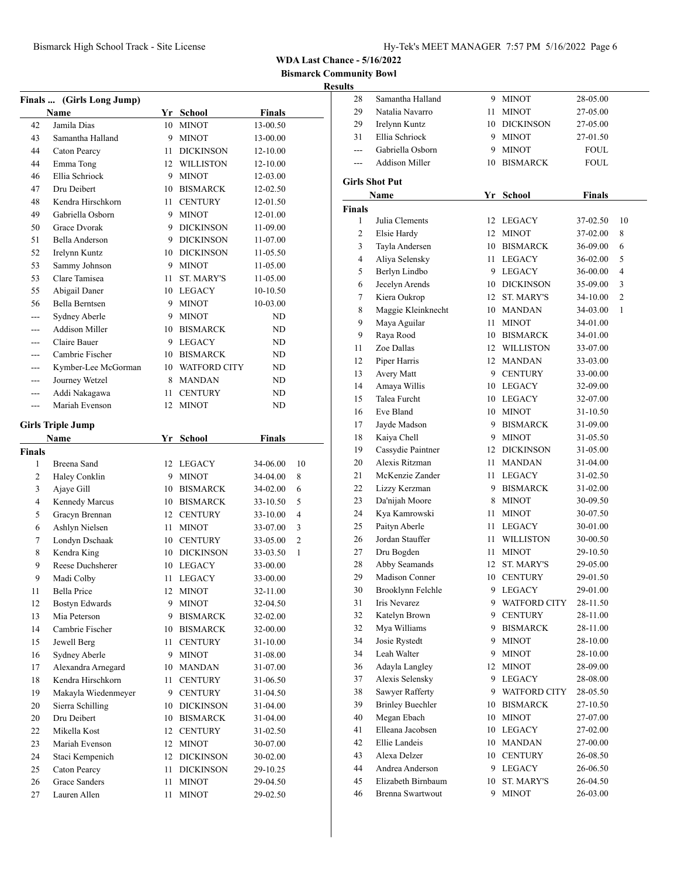**Bismarck Community Bowl**

|                    | Finals  (Girls Long Jump)     |          |                              |                      |                |
|--------------------|-------------------------------|----------|------------------------------|----------------------|----------------|
|                    | Name                          |          | Yr School                    | <b>Finals</b>        |                |
| 42                 | Jamila Dias                   | 10       | <b>MINOT</b>                 | 13-00.50             |                |
| 43                 | Samantha Halland              | 9        | <b>MINOT</b>                 | 13-00.00             |                |
| 44                 | Caton Pearcy                  | 11       | <b>DICKINSON</b>             | 12-10.00             |                |
| 44                 | Emma Tong                     |          | 12 WILLISTON                 | 12-10.00             |                |
| 46                 | Ellia Schriock                |          | 9 MINOT                      | 12-03.00             |                |
| 47                 | Dru Deibert                   |          | 10 BISMARCK                  | 12-02.50             |                |
| 48                 | Kendra Hirschkorn             | 11 -     | <b>CENTURY</b>               | 12-01.50             |                |
| 49                 | Gabriella Osborn              |          | 9 MINOT                      | 12-01.00             |                |
| 50                 | Grace Dvorak                  |          | 9 DICKINSON                  | $11-09.00$           |                |
| 51                 | Bella Anderson                | 9.       | DICKINSON                    | 11-07.00             |                |
| 52                 | Irelynn Kuntz                 |          | 10 DICKINSON                 | 11-05.50             |                |
| 53                 | Sammy Johnson                 | 9.       | <b>MINOT</b>                 | 11-05.00             |                |
| 53                 | Clare Tamisea                 | 11       | <b>ST. MARY'S</b>            | 11-05.00             |                |
| 55                 | Abigail Daner                 |          | 10 LEGACY                    | 10-10.50             |                |
| 56                 | Bella Berntsen                | 9        | <b>MINOT</b>                 | 10-03.00             |                |
| ---                | Sydney Aberle                 |          | 9 MINOT                      | ND                   |                |
| ---                | <b>Addison Miller</b>         |          | 10 BISMARCK                  | ND                   |                |
| ---                | Claire Bauer                  |          | 9 LEGACY                     | ND                   |                |
| ---                | Cambrie Fischer               |          | 10 BISMARCK                  | ND                   |                |
| ---                | Kymber-Lee McGorman           |          | 10 WATFORD CITY              | ND                   |                |
|                    | Journey Wetzel                |          | 8 MANDAN                     | ND                   |                |
| ---                | Addi Nakagawa                 |          | 11 CENTURY                   | ND                   |                |
| $---$              | Mariah Evenson                | 12       | <b>MINOT</b>                 | ND                   |                |
|                    |                               |          |                              |                      |                |
|                    | <b>Girls Triple Jump</b>      |          |                              |                      |                |
|                    | <b>Name</b>                   |          | Yr School                    | <b>Finals</b>        |                |
| <b>Finals</b><br>1 |                               |          |                              |                      |                |
|                    | Breena Sand                   |          | 12 LEGACY                    | 34-06.00             | 10             |
| 2                  | Haley Conklin                 | 9.       | <b>MINOT</b>                 | 34-04.00             | 8              |
| 3<br>4             | Ajaye Gill                    |          | 10 BISMARCK                  | 34-02.00             | 6<br>5         |
|                    | Kennedy Marcus                |          | 10 BISMARCK                  | 33-10.50             |                |
| 5                  | Gracyn Brennan                |          | 12 CENTURY                   | 33-10.00             | 4              |
| 6                  | Ashlyn Nielsen                |          | 11 MINOT                     | 33-07.00             | 3              |
| 7                  | Londyn Dschaak                |          | 10 CENTURY                   | 33-05.00             | $\overline{c}$ |
| 8                  | Kendra King                   |          | 10 DICKINSON                 | 33-03.50             | 1              |
| 9                  | Reese Duchsherer              |          | 10 LEGACY                    | 33-00.00             |                |
| 9                  | Madi Colby                    | 11       | <b>LEGACY</b>                | 33-00.00             |                |
| 11                 | <b>Bella Price</b>            | 12       | <b>MINOT</b>                 | 32-11.00             |                |
| 12                 | <b>Bostyn Edwards</b>         | 9        | <b>MINOT</b>                 | 32-04.50             |                |
| 13                 | Mia Peterson                  | 9        | <b>BISMARCK</b>              | 32-02.00             |                |
| 14                 | Cambrie Fischer               | 10       | <b>BISMARCK</b>              | 32-00.00             |                |
| 15                 | Jewell Berg                   | 11       | <b>CENTURY</b>               | 31-10.00             |                |
| 16                 | Sydney Aberle                 | 9.       | <b>MINOT</b>                 | 31-08.00             |                |
| 17                 | Alexandra Arnegard            | 10       | MANDAN                       | 31-07.00             |                |
| 18                 | Kendra Hirschkorn             | 11       | <b>CENTURY</b>               | 31-06.50             |                |
| 19                 | Makayla Wiedenmeyer           |          | 9 CENTURY                    | 31-04.50             |                |
| 20                 | Sierra Schilling              | 10       | <b>DICKINSON</b>             | 31-04.00             |                |
| 20                 | Dru Deibert                   | 10       | <b>BISMARCK</b>              | 31-04.00             |                |
| 22                 | Mikella Kost                  | 12       | <b>CENTURY</b>               | 31-02.50             |                |
| 23                 | Mariah Evenson                | 12       | <b>MINOT</b>                 | 30-07.00             |                |
| 24                 | Staci Kempenich               | 12       | <b>DICKINSON</b>             | 30-02.00             |                |
| 25                 | Caton Pearcy                  | 11       | <b>DICKINSON</b>             | 29-10.25             |                |
| 26<br>27           | Grace Sanders<br>Lauren Allen | 11<br>11 | <b>MINOT</b><br><b>MINOT</b> | 29-04.50<br>29-02.50 |                |
|                    |                               |          |                              |                      |                |

| 28            | Samantha Halland        | 9.   | <b>MINOT</b>        | 28-05.00      |    |
|---------------|-------------------------|------|---------------------|---------------|----|
| 29            | Natalia Navarro         | 11   | <b>MINOT</b>        | 27-05.00      |    |
| 29            | Irelynn Kuntz           | 10   | <b>DICKINSON</b>    | 27-05.00      |    |
| 31            | Ellia Schriock          | 9.   | <b>MINOT</b>        | 27-01.50      |    |
| $---$         | Gabriella Osborn        | 9.   | <b>MINOT</b>        | FOUL          |    |
| ---           | <b>Addison Miller</b>   | 10   | <b>BISMARCK</b>     | <b>FOUL</b>   |    |
|               | <b>Girls Shot Put</b>   |      |                     |               |    |
|               | Name                    |      | Yr School           | <b>Finals</b> |    |
| <b>Finals</b> |                         |      |                     |               |    |
| 1             | Julia Clements          |      | 12 LEGACY           | 37-02.50      | 10 |
| 2             | Elsie Hardy             | 12   | <b>MINOT</b>        | 37-02.00      | 8  |
| 3             | Tayla Andersen          |      | 10 BISMARCK         | 36-09.00      | 6  |
| 4             | Aliya Selensky          |      | 11 LEGACY           | 36-02.00      | 5  |
| 5             | Berlyn Lindbo           |      | 9 LEGACY            | 36-00.00      | 4  |
| 6             | Jecelyn Arends          |      | 10 DICKINSON        |               | 3  |
|               | Kiera Oukrop            | 12   | <b>ST. MARY'S</b>   | 35-09.00      | 2  |
| 7             |                         |      |                     | 34-10.00      |    |
| 8             | Maggie Kleinknecht      |      | 10 MANDAN           | 34-03.00      | 1  |
| 9             | Maya Aguilar            | 11 - | <b>MINOT</b>        | 34-01.00      |    |
| 9             | Raya Rood               | 10   | <b>BISMARCK</b>     | 34-01.00      |    |
| 11            | Zoe Dallas              |      | 12 WILLISTON        | 33-07.00      |    |
| 12            | Piper Harris            |      | 12 MANDAN           | 33-03.00      |    |
| 13            | Avery Matt              |      | 9 CENTURY           | 33-00.00      |    |
| 14            | Amaya Willis            |      | 10 LEGACY           | 32-09.00      |    |
| 15            | Talea Furcht            |      | 10 LEGACY           | 32-07.00      |    |
| 16            | Eve Bland               | 10   | <b>MINOT</b>        | 31-10.50      |    |
| 17            | Jayde Madson            | 9.   | <b>BISMARCK</b>     | 31-09.00      |    |
| 18            | Kaiya Chell             | 9    | <b>MINOT</b>        | 31-05.50      |    |
| 19            | Cassydie Paintner       | 12   | <b>DICKINSON</b>    | 31-05.00      |    |
| 20            | Alexis Ritzman          | 11 - | <b>MANDAN</b>       | 31-04.00      |    |
| 21            | McKenzie Zander         | 11 - | LEGACY              | 31-02.50      |    |
| 22            | Lizzy Kerzman           |      | 9 BISMARCK          | 31-02.00      |    |
| 23            | Da'nijah Moore          | 8    | <b>MINOT</b>        | 30-09.50      |    |
| 24            | Kya Kamrowski           | 11   | <b>MINOT</b>        | 30-07.50      |    |
| 25            | Paityn Aberle           | 11 - | LEGACY              | 30-01.00      |    |
| 26            | Jordan Stauffer         | 11 - | <b>WILLISTON</b>    | 30-00.50      |    |
| 27            | Dru Bogden              | 11   | <b>MINOT</b>        | 29-10.50      |    |
| 28            | Abby Seamands           | 12   | <b>ST. MARY'S</b>   | 29-05.00      |    |
| 29            | Madison Conner          | 10   | <b>CENTURY</b>      | 29-01.50      |    |
| 30            | Brooklynn Felchle       | 9    | <b>LEGACY</b>       | 29-01.00      |    |
| 31            | Iris Nevarez            | 9    | <b>WATFORD CITY</b> | 28-11.50      |    |
| 32            | Katelyn Brown           | 9.   | <b>CENTURY</b>      | 28-11.00      |    |
| 32            | Mya Williams            | 9.   | <b>BISMARCK</b>     | 28-11.00      |    |
| 34            | Josie Rystedt           | 9    | <b>MINOT</b>        | 28-10.00      |    |
| 34            | Leah Walter             | 9.   | <b>MINOT</b>        | 28-10.00      |    |
| 36            | Adayla Langley          | 12   | <b>MINOT</b>        | 28-09.00      |    |
| 37            | Alexis Selensky         | 9.   | LEGACY              | 28-08.00      |    |
| 38            | Sawyer Rafferty         |      | 9 WATFORD CITY      | 28-05.50      |    |
| 39            | <b>Brinley Buechler</b> | 10   | <b>BISMARCK</b>     | 27-10.50      |    |
| 40            | Megan Ebach             | 10   | <b>MINOT</b>        | 27-07.00      |    |
| 41            | Elleana Jacobsen        | 10   | LEGACY              | 27-02.00      |    |
| 42            | Ellie Landeis           | 10   | MANDAN              | 27-00.00      |    |
| 43            | Alexa Delzer            | 10   | <b>CENTURY</b>      | 26-08.50      |    |
| 44            | Andrea Anderson         | 9.   | LEGACY              | 26-06.50      |    |
| 45            | Elizabeth Birnbaum      | 10   | ST. MARY'S          | 26-04.50      |    |
| 46            | Brenna Swartwout        | 9.   | <b>MINOT</b>        |               |    |
|               |                         |      |                     | 26-03.00      |    |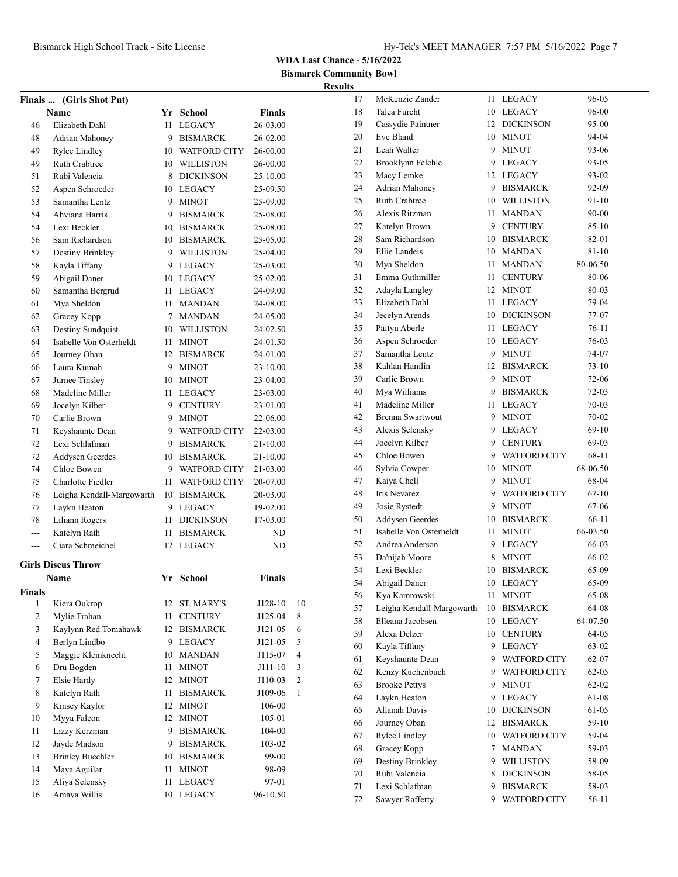**Bismarck Community Bowl Results**

| <b>Finals …</b> | (Girls Shot Put)                  |          |                               |                      |                |
|-----------------|-----------------------------------|----------|-------------------------------|----------------------|----------------|
|                 | Name                              |          | Yr School                     | <b>Finals</b>        |                |
| 46              | Elizabeth Dahl                    | 11       | <b>LEGACY</b>                 | 26-03.00             |                |
| 48              | Adrian Mahoney                    |          | 9 BISMARCK                    | 26-02.00             |                |
| 49              | Rylee Lindley                     |          | 10 WATFORD CITY               | 26-00.00             |                |
| 49              | <b>Ruth Crabtree</b>              |          | 10 WILLISTON                  | 26-00.00             |                |
| 51              | Rubi Valencia                     | 8        | <b>DICKINSON</b>              | 25-10.00             |                |
| 52              | Aspen Schroeder                   |          | 10 LEGACY                     | 25-09.50             |                |
| 53              | Samantha Lentz                    |          | 9 MINOT                       | 25-09.00             |                |
| 54              | Ahviana Harris                    |          | 9 BISMARCK                    | 25-08.00             |                |
| 54              | Lexi Beckler                      |          | 10 BISMARCK                   | 25-08.00             |                |
| 56              | Sam Richardson                    |          | 10 BISMARCK                   | 25-05.00             |                |
| 57              | Destiny Brinkley                  |          | 9 WILLISTON                   | 25-04.00             |                |
| 58              | Kayla Tiffany                     |          | 9 LEGACY                      | 25-03.00             |                |
| 59              | Abigail Daner                     |          | 10 LEGACY                     | 25-02.00             |                |
| 60              | Samantha Bergrud                  |          | 11 LEGACY                     | 24-09.00             |                |
| 61              | Mya Sheldon                       | 11 -     | <b>MANDAN</b>                 | 24-08.00             |                |
| 62              | Gracey Kopp                       |          | 7 MANDAN                      | 24-05.00             |                |
| 63              | Destiny Sundquist                 |          | 10 WILLISTON                  | 24-02.50             |                |
| 64              | Isabelle Von Osterheldt           |          | 11 MINOT                      | 24-01.50             |                |
| 65              | Journey Oban                      |          | 12 BISMARCK                   | 24-01.00             |                |
| 66              | Laura Kumah                       |          | 9 MINOT                       | 23-10.00             |                |
| 67              | Jurnee Tinsley                    |          | 10 MINOT                      | 23-04.00             |                |
| 68              | Madeline Miller                   |          | 11 LEGACY                     | 23-03.00             |                |
|                 |                                   |          | 9 CENTURY                     | 23-01.00             |                |
| 69              | Jocelyn Kilber<br>Carlie Brown    |          |                               |                      |                |
| 70<br>71        |                                   |          | 9 MINOT<br>9 WATFORD CITY     | 22-06.00             |                |
| 72              | Keyshaunte Dean<br>Lexi Schlafman |          |                               | 22-03.00             |                |
|                 |                                   |          | 9 BISMARCK                    | 21-10.00             |                |
| 72<br>74        | Addysen Geerdes<br>Chloe Bowen    |          | 10 BISMARCK<br>9 WATFORD CITY | 21-10.00<br>21-03.00 |                |
|                 | Charlotte Fiedler                 | 11 -     |                               |                      |                |
| 75              |                                   |          | <b>WATFORD CITY</b>           | 20-07.00             |                |
| 76              | Leigha Kendall-Margowarth         |          | 10 BISMARCK<br>9 LEGACY       | 20-03.00             |                |
| 77              | Laykn Heaton                      |          |                               | 19-02.00             |                |
| 78              | Liliann Rogers<br>Katelyn Rath    | 11       | <b>DICKINSON</b>              | 17-03.00             |                |
| ---             | Ciara Schmeichel                  | 11<br>12 | <b>BISMARCK</b><br>LEGACY     | ND                   |                |
| ---             |                                   |          |                               | ND                   |                |
|                 | <b>Girls Discus Throw</b>         |          |                               |                      |                |
|                 | Name                              |          | Yr School                     | Finals               |                |
| Finals          |                                   |          |                               |                      |                |
| 1               | Kiera Oukrop                      | 12       | ST. MARY'S                    | J128-10              | 10             |
| $\overline{c}$  | Mylie Trahan                      | 11       | <b>CENTURY</b>                | J125-04              | 8              |
| 3               | Kaylynn Red Tomahawk              | 12       | <b>BISMARCK</b>               | J121-05              | 6              |
| 4               | Berlyn Lindbo                     | 9        | <b>LEGACY</b>                 | J121-05              | 5              |
| 5               | Maggie Kleinknecht                | 10       | <b>MANDAN</b>                 | J115-07              | 4              |
| 6               | Dru Bogden                        | 11       | <b>MINOT</b>                  | J111-10              | 3              |
| 7               | Elsie Hardy                       | 12       | <b>MINOT</b>                  | J110-03              | $\overline{c}$ |
| 8               | Katelyn Rath                      | 11       | <b>BISMARCK</b>               | J109-06              | $\mathbf{1}$   |
| 9               | Kinsey Kaylor                     |          | 12 MINOT                      | 106-00               |                |
| 10              | Myya Falcon                       |          | 12 MINOT                      | 105-01               |                |
| 11              | Lizzy Kerzman                     |          | 9 BISMARCK                    | 104-00               |                |
| 12              | Jayde Madson                      |          | 9 BISMARCK                    | 103-02               |                |
| 13              | <b>Brinley Buechler</b>           |          | 10 BISMARCK                   | 99-00                |                |
| 14              | Maya Aguilar                      | 11       | <b>MINOT</b>                  | 98-09                |                |
| 15              | Aliya Selensky                    | 11       | <b>LEGACY</b>                 | 97-01                |                |
| 16              | Amaya Willis                      | 10       | <b>LEGACY</b>                 | 96-10.50             |                |

| 17 | McKenzie Zander           | 11 | <b>LEGACY</b>       | 96-05     |
|----|---------------------------|----|---------------------|-----------|
| 18 | Talea Furcht              | 10 | <b>LEGACY</b>       | 96-00     |
| 19 | Cassydie Paintner         | 12 | <b>DICKINSON</b>    | 95-00     |
| 20 | Eve Bland                 | 10 | <b>MINOT</b>        | 94-04     |
| 21 | Leah Walter               | 9  | <b>MINOT</b>        | 93-06     |
| 22 | Brooklynn Felchle         | 9  | LEGACY              | 93-05     |
| 23 | Macy Lemke                | 12 | LEGACY              | 93-02     |
| 24 | Adrian Mahoney            | 9  | <b>BISMARCK</b>     | 92-09     |
| 25 | <b>Ruth Crabtree</b>      | 10 | <b>WILLISTON</b>    | 91-10     |
| 26 | Alexis Ritzman            | 11 | MANDAN              | 90-00     |
| 27 | Katelyn Brown             | 9. | <b>CENTURY</b>      | 85-10     |
| 28 | Sam Richardson            | 10 | <b>BISMARCK</b>     | 82-01     |
| 29 | Ellie Landeis             | 10 | <b>MANDAN</b>       |           |
|    |                           | 11 |                     | 81-10     |
| 30 | Mya Sheldon               |    | MANDAN              | 80-06.50  |
| 31 | Emma Guthmiller           | 11 | <b>CENTURY</b>      | 80-06     |
| 32 | Adayla Langley            | 12 | <b>MINOT</b>        | 80-03     |
| 33 | Elizabeth Dahl            | 11 | LEGACY              | 79-04     |
| 34 | Jecelyn Arends            | 10 | <b>DICKINSON</b>    | 77-07     |
| 35 | Paityn Aberle             | 11 | <b>LEGACY</b>       | 76-11     |
| 36 | Aspen Schroeder           |    | 10 LEGACY           | 76-03     |
| 37 | Samantha Lentz            | 9  | <b>MINOT</b>        | 74-07     |
| 38 | Kahlan Hamlin             | 12 | <b>BISMARCK</b>     | 73-10     |
| 39 | Carlie Brown              | 9  | <b>MINOT</b>        | 72-06     |
| 40 | Mya Williams              | 9  | <b>BISMARCK</b>     | 72-03     |
| 41 | Madeline Miller           | 11 | <b>LEGACY</b>       | 70-03     |
| 42 | <b>Brenna Swartwout</b>   | 9. | <b>MINOT</b>        | 70-02     |
| 43 | Alexis Selensky           | 9  | LEGACY              | 69-10     |
| 44 | Jocelyn Kilber            | 9  | <b>CENTURY</b>      | 69-03     |
| 45 | Chloe Bowen               | 9  | <b>WATFORD CITY</b> | 68-11     |
| 46 | Sylvia Cowper             | 10 | <b>MINOT</b>        | 68-06.50  |
| 47 | Kaiya Chell               | 9  | <b>MINOT</b>        | 68-04     |
| 48 | Iris Nevarez              | 9  | <b>WATFORD CITY</b> | 67-10     |
| 49 | Josie Rystedt             | 9  | <b>MINOT</b>        | 67-06     |
| 50 | Addysen Geerdes           | 10 | <b>BISMARCK</b>     | 66-11     |
| 51 | Isabelle Von Osterheldt   | 11 | <b>MINOT</b>        | 66-03.50  |
| 52 | Andrea Anderson           | 9  | LEGACY              | 66-03     |
| 53 | Da'nijah Moore            | 8  | <b>MINOT</b>        | 66-02     |
| 54 | Lexi Beckler              | 10 | <b>BISMARCK</b>     | 65-09     |
| 54 | Abigail Daner             | 10 | <b>LEGACY</b>       | 65-09     |
| 56 | Kya Kamrowski             | 11 | <b>MINOT</b>        | 65-08     |
| 57 | Leigha Kendall-Margowarth | 10 | <b>BISMARCK</b>     | 64-08     |
| 58 | Elleana Jacobsen          | 10 | <b>LEGACY</b>       | 64-07.50  |
|    | Alexa Delzer              |    |                     |           |
| 59 |                           | 10 | <b>CENTURY</b>      | 64-05     |
| 60 | Kayla Tiffany             | 9  | LEGACY              | 63-02     |
| 61 | Keyshaunte Dean           | 9  | <b>WATFORD CITY</b> | 62-07     |
| 62 | Kenzy Kuchenbuch          | 9  | <b>WATFORD CITY</b> | 62-05     |
| 63 | <b>Brooke Pettys</b>      | 9  | <b>MINOT</b>        | $62 - 02$ |
| 64 | Laykn Heaton              | 9  | <b>LEGACY</b>       | 61-08     |
| 65 | Allanah Davis             | 10 | <b>DICKINSON</b>    | 61-05     |
| 66 | Journey Oban              | 12 | <b>BISMARCK</b>     | 59-10     |
| 67 | <b>Rylee Lindley</b>      | 10 | <b>WATFORD CITY</b> | 59-04     |
| 68 | Gracey Kopp               | 7  | <b>MANDAN</b>       | 59-03     |
| 69 | Destiny Brinkley          | 9. | <b>WILLISTON</b>    | 58-09     |
| 70 | Rubi Valencia             | 8  | <b>DICKINSON</b>    | 58-05     |
| 71 | Lexi Schlafman            | 9  | <b>BISMARCK</b>     | 58-03     |
| 72 | Sawyer Rafferty           | 9  | <b>WATFORD CITY</b> | 56-11     |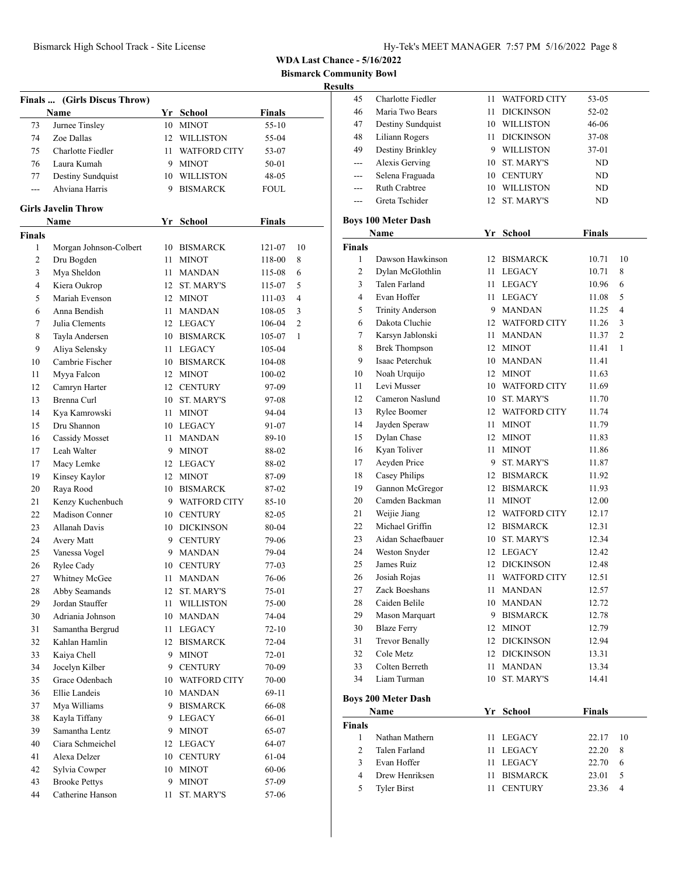**Bismarck Community Bowl**

|               | Finals  (Girls Discus Throw)<br>Name |            | Yr School                 | <b>Finals</b>  |    |
|---------------|--------------------------------------|------------|---------------------------|----------------|----|
| 73            | Jurnee Tinsley                       |            | 10 MINOT                  | $55-10$        |    |
| 74            | Zoe Dallas                           |            | 12 WILLISTON              | 55-04          |    |
| 75            | Charlotte Fiedler                    | 11 -       | <b>WATFORD CITY</b>       | 53-07          |    |
| 76            | Laura Kumah                          |            | 9 MINOT                   | 50-01          |    |
| 77            | Destiny Sundquist                    |            | 10 WILLISTON              | 48-05          |    |
| ---           | Ahviana Harris                       |            | 9 BISMARCK                | FOUL           |    |
|               |                                      |            |                           |                |    |
|               | <b>Girls Javelin Throw</b>           |            |                           |                |    |
|               | Name                                 |            | Yr School                 | <b>Finals</b>  |    |
| <b>Finals</b> |                                      |            |                           |                |    |
| 1             | Morgan Johnson-Colbert               | 10         | <b>BISMARCK</b>           | 121-07         | 10 |
| 2             | Dru Bogden                           | 11 -       | <b>MINOT</b>              | 118-00         | 8  |
| 3             | Mya Sheldon                          | 11 -       | <b>MANDAN</b>             | 115-08         | 6  |
| 4             | Kiera Oukrop                         | 12         | <b>ST. MARY'S</b>         | 115-07         | 5  |
| 5             | Mariah Evenson                       |            | 12 MINOT                  | 111-03         | 4  |
| 6             | Anna Bendish                         | 11 -       | <b>MANDAN</b>             | 108-05         | 3  |
| 7             | Julia Clements                       |            | 12 LEGACY                 | 106-04         | 2  |
| 8             | Tayla Andersen                       |            | 10 BISMARCK               | 105-07         | 1  |
| 9             | Aliya Selensky                       | 11 -       | <b>LEGACY</b>             | 105-04         |    |
| 10            | Cambrie Fischer                      |            | 10 BISMARCK               | 104-08         |    |
| 11            | Myya Falcon                          | 12         | <b>MINOT</b>              | 100-02         |    |
| 12            | Camryn Harter                        |            | 12 CENTURY                | 97-09          |    |
| 13            | Brenna Curl                          | 10         | <b>ST. MARY'S</b>         | 97-08          |    |
| 14            | Kya Kamrowski                        | 11 -       | <b>MINOT</b>              | 94-04          |    |
| 15            | Dru Shannon                          |            | 10 LEGACY                 | 91-07          |    |
| 16            | Cassidy Mosset                       | 11 -       | <b>MANDAN</b>             | 89-10          |    |
| 17            | Leah Walter                          |            | 9 MINOT                   | 88-02          |    |
| 17            | Macy Lemke                           |            | 12 LEGACY                 | 88-02          |    |
| 19            | Kinsey Kaylor                        |            | 12 MINOT                  | 87-09          |    |
| 20            | Raya Rood                            |            | 10 BISMARCK               | 87-02          |    |
| 21            | Kenzy Kuchenbuch                     |            | 9 WATFORD CITY            | $85-10$        |    |
| 22            | Madison Conner                       |            | 10 CENTURY                | 82-05          |    |
| 23            | <b>Allanah Davis</b>                 |            | 10 DICKINSON              | 80-04          |    |
| 24            | <b>Avery Matt</b>                    |            | 9 CENTURY                 | 79-06          |    |
| 25            | Vanessa Vogel                        | 9.         | <b>MANDAN</b>             | 79-04          |    |
| 26            | Rylee Cady                           |            | 10 CENTURY                | 77-03          |    |
| 27            | Whitney McGee                        | 11         | <b>MANDAN</b>             | 76-06          |    |
| 28            | Abby Seamands<br>Jordan Stauffer     | 12         | ST. MARY'S                | 75-01          |    |
| 29            | Adriania Johnson                     | 11         | WILLISTON<br>10 MANDAN    | 75-00          |    |
| 30            |                                      |            |                           | 74-04          |    |
| 31<br>32      | Samantha Bergrud<br>Kahlan Hamlin    | 11 -<br>12 | LEGACY<br><b>BISMARCK</b> | 72-10<br>72-04 |    |
| 33            | Kaiya Chell                          | 9.         | <b>MINOT</b>              | 72-01          |    |
|               | Jocelyn Kilber                       | 9          | <b>CENTURY</b>            |                |    |
| 34            | Grace Odenbach                       |            | <b>WATFORD CITY</b>       | 70-09<br>70-00 |    |
| 35<br>36      | Ellie Landeis                        | 10         | 10 MANDAN                 |                |    |
| 37            | Mya Williams                         |            | <b>BISMARCK</b>           | 69-11          |    |
| 38            | Kayla Tiffany                        | 9.         | 9 LEGACY                  | 66-08<br>66-01 |    |
| 39            | Samantha Lentz                       |            | 9 MINOT                   | 65-07          |    |
| 40            | Ciara Schmeichel                     |            | 12 LEGACY                 | 64-07          |    |
| 41            | Alexa Delzer                         |            | 10 CENTURY                | 61-04          |    |
| 42            | Sylvia Cowper                        |            | 10 MINOT                  | 60-06          |    |
| 43            | <b>Brooke Pettys</b>                 | 9.         | <b>MINOT</b>              | 57-09          |    |
| 44            | Catherine Hanson                     | 11         | ST. MARY'S                | 57-06          |    |
|               |                                      |            |                           |                |    |

| 45             | Charlotte Fiedler                       | 11   | <b>WATFORD CITY</b>   | 53-05          |    |
|----------------|-----------------------------------------|------|-----------------------|----------------|----|
| 46             | Maria Two Bears                         | 11   | <b>DICKINSON</b>      | 52-02          |    |
| 47             | Destiny Sundquist                       |      | 10 WILLISTON          | 46-06          |    |
| 48             | Liliann Rogers                          | 11 - | <b>DICKINSON</b>      | 37-08          |    |
| 49             | Destiny Brinkley                        |      | 9 WILLISTON           | 37-01          |    |
| ---            | Alexis Gerving                          |      | 10 ST. MARY'S         | ND             |    |
| $-$            | Selena Fraguada                         |      | 10 CENTURY            | ND             |    |
| ---            | <b>Ruth Crabtree</b>                    |      | 10 WILLISTON          | ND.            |    |
|                | Greta Tschider                          |      | 12 ST. MARY'S         | ND.            |    |
|                | <b>Boys 100 Meter Dash</b>              |      |                       |                |    |
|                | Name                                    |      | Yr School             | Finals         |    |
| <b>Finals</b>  |                                         |      |                       |                |    |
| 1              | Dawson Hawkinson                        |      | 12 BISMARCK           | 10.71          | 10 |
| $\overline{2}$ | Dylan McGlothlin                        | 11   | LEGACY                | 10.71          | 8  |
| 3              | Talen Farland                           | 11 - | LEGACY                | 10.96          | 6  |
| 4              | Evan Hoffer                             |      | 11 LEGACY             | 11.08          | 5  |
| 5              | <b>Trinity Anderson</b>                 |      | 9 MANDAN              | 11.25          | 4  |
| 6              | Dakota Cluchie                          |      | 12 WATFORD CITY       | 11.26          | 3  |
| 7              |                                         | 11 - | <b>MANDAN</b>         | 11.37          | 2  |
| 8              | Karsyn Jablonski                        |      |                       |                | 1  |
| 9              | <b>Brek Thompson</b><br>Isaac Peterchuk |      | 12 MINOT<br>10 MANDAN | 11.41<br>11.41 |    |
|                |                                         |      | 12 MINOT              |                |    |
| 10             | Noah Urquijo                            |      |                       | 11.63          |    |
| 11             | Levi Musser                             |      | 10 WATFORD CITY       | 11.69          |    |
| 12             | Cameron Naslund                         |      | 10 ST. MARY'S         | 11.70          |    |
| 13             | Rylee Boomer                            |      | 12 WATFORD CITY       | 11.74          |    |
| 14             | Jayden Speraw                           |      | 11 MINOT              | 11.79          |    |
| 15             | Dylan Chase                             |      | 12 MINOT              | 11.83          |    |
| 16             | Kyan Toliver                            | 11 - | <b>MINOT</b>          | 11.86          |    |
| 17             | Aeyden Price                            |      | 9 ST. MARY'S          | 11.87          |    |
| 18             | Casey Philips                           |      | 12 BISMARCK           | 11.92          |    |
| 19             | Gannon McGregor                         |      | 12 BISMARCK           | 11.93          |    |
| 20             | Camden Backman                          |      | 11 MINOT              | 12.00          |    |
| 21             | Weijie Jiang                            |      | 12 WATFORD CITY       | 12.17          |    |
| 22             | Michael Griffin                         |      | 12 BISMARCK           | 12.31          |    |
| 23             | Aidan Schaefbauer                       |      | 10 ST. MARY'S         | 12.34          |    |
| 24             | Weston Snyder                           |      | 12 LEGACY             | 12.42          |    |
| 25             | James Ruiz                              |      | 12 DICKINSON          | 12.48          |    |
| 26             | Josiah Rojas                            | 11 - | <b>WATFORD CITY</b>   | 12.51          |    |
| 27             | Zack Boeshans                           | 11   | <b>MANDAN</b>         | 12.57          |    |
| 28             | Caiden Belile                           | 10   | <b>MANDAN</b>         | 12.72          |    |
| 29             | Mason Marquart                          |      | 9 BISMARCK            | 12.78          |    |
| 30             | <b>Blaze Ferry</b>                      |      | 12 MINOT              | 12.79          |    |
| 31             | <b>Trevor Benally</b>                   |      | 12 DICKINSON          | 12.94          |    |
| 32             | Cole Metz                               |      | 12 DICKINSON          | 13.31          |    |
| 33             | Colten Berreth                          | 11   | <b>MANDAN</b>         | 13.34          |    |
| 34             | Liam Turman                             |      | 10 ST. MARY'S         | 14.41          |    |
|                | <b>Boys 200 Meter Dash</b>              |      |                       |                |    |
|                | Name                                    | Yr   | <b>School</b>         | <b>Finals</b>  |    |
| <b>Finals</b>  |                                         |      |                       |                |    |
| $\mathbf{1}$   | Nathan Mathern                          | 11   | LEGACY                | 22.17          | 10 |
| $\overline{2}$ | Talen Farland                           | 11   | LEGACY                | 22.20          | 8  |
| 3              | Evan Hoffer                             | 11 - | LEGACY                | 22.70          | 6  |
| 4              | Drew Henriksen                          | 11   | <b>BISMARCK</b>       | 23.01          | 5  |
| 5              | <b>Tyler Birst</b>                      | 11   | <b>CENTURY</b>        | 23.36          | 4  |
|                |                                         |      |                       |                |    |
|                |                                         |      |                       |                |    |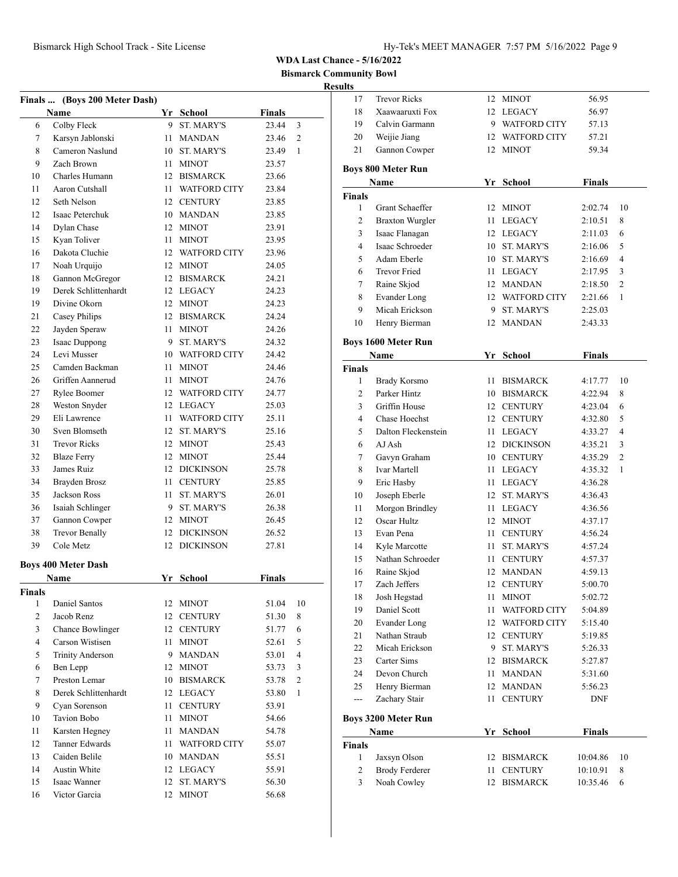**Bismarck Community Bowl**

|                | Finals  (Boys 200 Meter Dash)         |      |                              |                |              |
|----------------|---------------------------------------|------|------------------------------|----------------|--------------|
|                | Name                                  |      | Yr School                    | Finals         |              |
| 6              | Colby Fleck                           | 9.   | <b>ST. MARY'S</b>            | 23.44          | 3            |
| 7              | Karsyn Jablonski                      |      | 11 MANDAN                    | 23.46          | 2            |
| 8              | Cameron Naslund                       |      | 10 ST. MARY'S                | 23.49          | $\mathbf{1}$ |
| 9              | Zach Brown                            |      | 11 MINOT                     | 23.57          |              |
| 10             | Charles Humann                        |      | 12 BISMARCK                  | 23.66          |              |
| 11             | Aaron Cutshall                        |      | 11 WATFORD CITY              | 23.84          |              |
| 12             | Seth Nelson                           |      | 12 CENTURY                   | 23.85          |              |
| 12             | Isaac Peterchuk                       |      | 10 MANDAN                    | 23.85          |              |
| 14             | Dylan Chase                           |      | 12 MINOT                     | 23.91          |              |
| 15             | Kyan Toliver                          |      | 11 MINOT                     | 23.95          |              |
| 16             | Dakota Cluchie                        |      | 12 WATFORD CITY              | 23.96          |              |
| 17             | Noah Urquijo                          |      | 12 MINOT                     | 24.05          |              |
| 18             | Gannon McGregor                       |      | 12 BISMARCK                  | 24.21          |              |
| 19             | Derek Schlittenhardt                  |      | 12 LEGACY                    | 24.23          |              |
| 19             | Divine Okorn                          |      | 12 MINOT                     | 24.23          |              |
| 21             | Casey Philips                         |      | 12 BISMARCK                  | 24.24          |              |
| 22             | Jayden Speraw                         |      | 11 MINOT                     | 24.26          |              |
| 23             | Isaac Duppong                         |      | 9 ST. MARY'S                 | 24.32          |              |
| 24             | Levi Musser                           |      | 10 WATFORD CITY              | 24.42          |              |
| 25             | Camden Backman                        |      | 11 MINOT                     | 24.46          |              |
| 26             | Griffen Aannerud                      | 11 - | <b>MINOT</b>                 | 24.76          |              |
| 27             | Rylee Boomer                          |      | 12 WATFORD CITY              | 24.77          |              |
| 28             | Weston Snyder                         |      | 12 LEGACY                    | 25.03          |              |
| 29             | Eli Lawrence                          |      | 11 WATFORD CITY              | 25.11          |              |
| 30             | Sven Blomseth                         |      | 12 ST. MARY'S                | 25.16          |              |
| 31             | <b>Trevor Ricks</b>                   |      | 12 MINOT                     | 25.43          |              |
| 32             | <b>Blaze Ferry</b>                    |      | 12 MINOT                     | 25.44          |              |
| 33             | James Ruiz                            |      | 12 DICKINSON                 | 25.78          |              |
| 34             | Brayden Brosz                         |      | 11 CENTURY                   | 25.85          |              |
| 35             | Jackson Ross                          |      | 11 ST. MARY'S                | 26.01          |              |
| 36             | Isaiah Schlinger                      |      | 9 ST. MARY'S                 | 26.38          |              |
| 37             | Gannon Cowper                         |      | 12 MINOT                     | 26.45          |              |
| 38             | Trevor Benally                        |      | 12 DICKINSON                 | 26.52          |              |
| 39             | Cole Metz                             |      | 12 DICKINSON                 | 27.81          |              |
|                |                                       |      |                              |                |              |
|                | <b>Boys 400 Meter Dash</b>            |      |                              |                |              |
|                | Name                                  |      | Yr School                    | Finals         |              |
| Finals<br>1    | Daniel Santos                         |      | 12 MINOT                     | 51.04          | 10           |
| $\overline{2}$ | Jacob Renz                            |      | 12 CENTURY                   | 51.30          | 8            |
| 3              | Chance Bowlinger                      |      | 12 CENTURY                   | 51.77          | 6            |
| $\overline{4}$ | Carson Wistisen                       |      | 11 MINOT                     |                | 5            |
| 5              | <b>Trinity Anderson</b>               |      | 9 MANDAN                     | 52.61<br>53.01 | 4            |
|                |                                       |      |                              |                |              |
| 6<br>7         | Ben Lepp<br>Preston Lemar             |      | 12 MINOT<br>10 BISMARCK      | 53.73          | 3<br>2       |
|                |                                       |      |                              | 53.78          | $\mathbf{1}$ |
| 8              | Derek Schlittenhardt<br>Cyan Sorenson |      | 12 LEGACY<br><b>CENTURY</b>  | 53.80          |              |
| 9              | <b>Tavion Bobo</b>                    | 11   |                              | 53.91          |              |
| 10             |                                       | 11 - | <b>MINOT</b>                 | 54.66          |              |
| 11             | Karsten Hegney<br>Tanner Edwards      | 11   | <b>MANDAN</b>                | 54.78          |              |
| 12<br>13       | Caiden Belile                         |      | 11 WATFORD CITY<br>10 MANDAN | 55.07<br>55.51 |              |
|                |                                       |      |                              |                |              |
| 14             | Austin White<br>Isaac Wanner          |      | 12 LEGACY                    | 55.91          |              |
| 15<br>16       | Victor Garcia                         |      | 12 ST. MARY'S<br>12 MINOT    | 56.30<br>56.68 |              |
|                |                                       |      |                              |                |              |

| $-0.5$       |                                   |    |                     |               |                |
|--------------|-----------------------------------|----|---------------------|---------------|----------------|
| 17           | <b>Trevor Ricks</b>               | 12 | <b>MINOT</b>        | 56.95         |                |
| 18           | Xaawaaruxti Fox                   | 12 | <b>LEGACY</b>       | 56.97         |                |
| 19           | Calvin Garmann                    | 9  | <b>WATFORD CITY</b> | 57.13         |                |
| 20           | Weijie Jiang                      | 12 | <b>WATFORD CITY</b> | 57.21         |                |
| 21           | Gannon Cowper                     |    | 12 MINOT            | 59.34         |                |
|              |                                   |    |                     |               |                |
|              | Boys 800 Meter Run                |    |                     | <b>Finals</b> |                |
|              | Name                              |    | Yr School           |               |                |
| Finals<br>1  | Grant Schaeffer                   |    | 12 MINOT            | 2:02.74       | 10             |
|              |                                   |    |                     |               |                |
| 2            | <b>Braxton Wurgler</b>            | 11 | LEGACY              | 2:10.51       | 8              |
| 3<br>4       | Isaac Flanagan<br>Isaac Schroeder |    | 12 LEGACY           | 2:11.03       | 6              |
|              |                                   |    | 10 ST. MARY'S       | 2:16.06       | 5              |
| 5            | Adam Eberle                       |    | 10 ST. MARY'S       | 2:16.69       | $\overline{4}$ |
| 6            | Trevor Fried                      |    | 11 LEGACY           | 2:17.95       | 3              |
| 7            | Raine Skjod                       |    | 12 MANDAN           | 2:18.50       | $\overline{2}$ |
| 8            | Evander Long                      |    | 12 WATFORD CITY     | 2:21.66       | 1              |
| 9            | Micah Erickson                    | 9  | <b>ST. MARY'S</b>   | 2:25.03       |                |
| 10           | Henry Bierman                     |    | 12 MANDAN           | 2:43.33       |                |
|              | <b>Boys 1600 Meter Run</b>        |    |                     |               |                |
|              | Name                              |    | Yr School           | <b>Finals</b> |                |
| Finals       |                                   |    |                     |               |                |
| 1            | <b>Brady Korsmo</b>               | 11 | <b>BISMARCK</b>     | 4:17.77       | 10             |
| 2            | Parker Hintz                      |    | 10 BISMARCK         | 4:22.94       | 8              |
| 3            | Griffin House                     |    | 12 CENTURY          | 4:23.04       | 6              |
| 4            | Chase Hoechst                     |    | 12 CENTURY          | 4:32.80       | 5              |
| 5            | Dalton Fleckenstein               |    | 11 LEGACY           | 4:33.27       | $\overline{4}$ |
| 6            | AJ Ash                            |    | 12 DICKINSON        | 4:35.21       | 3              |
| 7            | Gavyn Graham                      |    | 10 CENTURY          | 4:35.29       | $\overline{2}$ |
| 8            | <b>Ivar Martell</b>               | 11 | LEGACY              | 4:35.32       | 1              |
| 9            | Eric Hasby                        | 11 | LEGACY              | 4:36.28       |                |
| 10           | Joseph Eberle                     |    | 12 ST. MARY'S       | 4:36.43       |                |
| 11           | Morgon Brindley                   | 11 | LEGACY              | 4:36.56       |                |
| 12           | Oscar Hultz                       |    | 12 MINOT            | 4:37.17       |                |
| 13           | Evan Pena                         |    | 11 CENTURY          | 4:56.24       |                |
| 14           | Kyle Marcotte                     |    | 11 ST. MARY'S       | 4:57.24       |                |
| 15           | Nathan Schroeder                  |    | 11 CENTURY          | 4:57.37       |                |
| 16           | Raine Skjod                       |    | 12 MANDAN           | 4:59.13       |                |
| 17           | Zach Jeffers                      |    | 12 CENTURY          | 5:00.70       |                |
| 18           | Josh Hegstad                      | 11 | <b>MINOT</b>        | 5:02.72       |                |
| 19           | Daniel Scott                      | 11 | <b>WATFORD CITY</b> | 5:04.89       |                |
| 20           | <b>Evander Long</b>               | 12 | WATFORD CITY        | 5:15.40       |                |
| 21           | Nathan Straub                     | 12 | <b>CENTURY</b>      | 5:19.85       |                |
| 22           | Micah Erickson                    |    | 9 ST. MARY'S        | 5:26.33       |                |
| 23           | Carter Sims                       | 12 | <b>BISMARCK</b>     | 5:27.87       |                |
| 24           | Devon Church                      | 11 | <b>MANDAN</b>       | 5:31.60       |                |
| 25           | Henry Bierman                     | 12 | <b>MANDAN</b>       | 5:56.23       |                |
| ---          | Zachary Stair                     | 11 | <b>CENTURY</b>      | DNF           |                |
|              |                                   |    |                     |               |                |
|              | <b>Boys 3200 Meter Run</b>        |    |                     |               |                |
|              | Name                              |    | Yr School           | <b>Finals</b> |                |
| Finals       |                                   |    |                     |               |                |
| $\mathbf{1}$ | Jaxsyn Olson                      | 12 | <b>BISMARCK</b>     | 10:04.86      | 10             |
| 2            | <b>Brody Ferderer</b>             | 11 | <b>CENTURY</b>      | 10:10.91      | 8              |
| 3            | Noah Cowley                       | 12 | <b>BISMARCK</b>     | 10:35.46      | 6              |
|              |                                   |    |                     |               |                |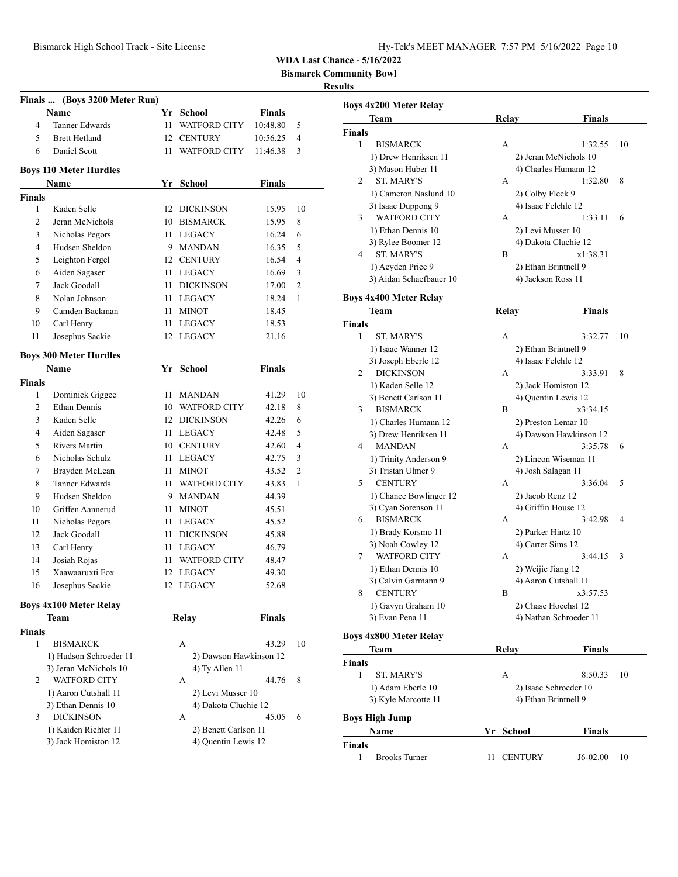**Bismarck Community Bowl**

### **Results**

**Boys 4x200 Meter Relay**

| Finals  (Boys 3200 Meter Run) |                               |    |                        |               |                |  |  |  |  |
|-------------------------------|-------------------------------|----|------------------------|---------------|----------------|--|--|--|--|
|                               | Name                          |    | Yr School              | <b>Finals</b> |                |  |  |  |  |
| 4                             | <b>Tanner Edwards</b>         | 11 | <b>WATFORD CITY</b>    | 10:48.80      | 5              |  |  |  |  |
| 5                             | <b>Brett Hetland</b>          | 12 | <b>CENTURY</b>         | 10:56.25      | 4              |  |  |  |  |
| 6                             | Daniel Scott                  | 11 | <b>WATFORD CITY</b>    | 11:46.38      | 3              |  |  |  |  |
|                               |                               |    |                        |               |                |  |  |  |  |
|                               | <b>Boys 110 Meter Hurdles</b> |    |                        |               |                |  |  |  |  |
|                               | Name                          |    | Yr School              | <b>Finals</b> |                |  |  |  |  |
| Finals<br>1                   | Kaden Selle                   | 12 | <b>DICKINSON</b>       | 15.95         | 10             |  |  |  |  |
| $\overline{c}$                | Jeran McNichols               |    | 10 BISMARCK            | 15.95         | 8              |  |  |  |  |
| 3                             | Nicholas Pegors               |    | 11 LEGACY              | 16.24         | 6              |  |  |  |  |
| $\overline{4}$                | Hudsen Sheldon                |    | 9 MANDAN               | 16.35         | 5              |  |  |  |  |
| 5                             | Leighton Fergel               |    | 12 CENTURY             | 16.54         | $\overline{4}$ |  |  |  |  |
| 6                             | Aiden Sagaser                 |    | 11 LEGACY              | 16.69         | 3              |  |  |  |  |
| 7                             | Jack Goodall                  | 11 | <b>DICKINSON</b>       | 17.00         | 2              |  |  |  |  |
| 8                             | Nolan Johnson                 | 11 | LEGACY                 | 18.24         | 1              |  |  |  |  |
| 9                             | Camden Backman                | 11 | <b>MINOT</b>           | 18.45         |                |  |  |  |  |
| 10                            | Carl Henry                    | 11 | <b>LEGACY</b>          | 18.53         |                |  |  |  |  |
| 11                            | Josephus Sackie               | 12 | <b>LEGACY</b>          | 21.16         |                |  |  |  |  |
|                               |                               |    |                        |               |                |  |  |  |  |
|                               | <b>Boys 300 Meter Hurdles</b> |    |                        |               |                |  |  |  |  |
|                               | Name                          | Yr | <b>School</b>          | <b>Finals</b> |                |  |  |  |  |
| <b>Finals</b>                 |                               |    |                        |               |                |  |  |  |  |
| 1                             | Dominick Giggee               | 11 | <b>MANDAN</b>          | 41.29         | 10             |  |  |  |  |
| 2                             | Ethan Dennis                  |    | 10 WATFORD CITY        | 42.18         | 8              |  |  |  |  |
| 3                             | Kaden Selle                   |    | 12 DICKINSON           | 42.26         | 6              |  |  |  |  |
| 4                             | Aiden Sagaser                 | 11 | LEGACY                 | 42.48         | 5              |  |  |  |  |
| 5                             | <b>Rivers Martin</b>          |    | 10 CENTURY             | 42.60         | 4              |  |  |  |  |
| 6                             | Nicholas Schulz               |    | 11 LEGACY              | 42.75         | 3              |  |  |  |  |
| 7                             | Brayden McLean                | 11 | <b>MINOT</b>           | 43.52         | $\overline{c}$ |  |  |  |  |
| 8                             | Tanner Edwards                | 11 | <b>WATFORD CITY</b>    | 43.83         | 1              |  |  |  |  |
| 9                             | Hudsen Sheldon                | 9  | MANDAN                 | 44.39         |                |  |  |  |  |
| 10                            | Griffen Aannerud              | 11 | <b>MINOT</b>           | 45.51         |                |  |  |  |  |
| 11                            | Nicholas Pegors               | 11 | <b>LEGACY</b>          | 45.52         |                |  |  |  |  |
| 12                            | Jack Goodall                  | 11 | <b>DICKINSON</b>       | 45.88         |                |  |  |  |  |
| 13                            | Carl Henry                    | 11 | LEGACY                 | 46.79         |                |  |  |  |  |
| 14                            | Josiah Rojas                  | 11 | <b>WATFORD CITY</b>    | 48.47         |                |  |  |  |  |
| 15                            | Xaawaaruxti Fox               |    | 12 LEGACY              | 49.30         |                |  |  |  |  |
| 16                            | Josephus Sackie               |    | 12 LEGACY              | 52.68         |                |  |  |  |  |
|                               | <b>Boys 4x100 Meter Relay</b> |    |                        |               |                |  |  |  |  |
|                               | Team                          |    | <b>Relay</b>           | <b>Finals</b> |                |  |  |  |  |
| <b>Finals</b>                 |                               |    |                        |               |                |  |  |  |  |
| 1                             | <b>BISMARCK</b>               |    | А                      | 43.29         | 10             |  |  |  |  |
|                               | 1) Hudson Schroeder 11        |    | 2) Dawson Hawkinson 12 |               |                |  |  |  |  |
|                               | 3) Jeran McNichols 10         |    | 4) Ty Allen 11         |               |                |  |  |  |  |
| 2                             | WATFORD CITY                  |    | А                      | 44.76         | 8              |  |  |  |  |
|                               | 1) Aaron Cutshall 11          |    | 2) Levi Musser 10      |               |                |  |  |  |  |
|                               | 3) Ethan Dennis 10            |    | 4) Dakota Cluchie 12   |               |                |  |  |  |  |
| 3                             | <b>DICKINSON</b>              |    | А                      | 45.05         | 6              |  |  |  |  |
|                               | 1) Kaiden Richter 11          |    | 2) Benett Carlson 11   |               |                |  |  |  |  |
|                               | 3) Jack Homiston 12           |    | 4) Quentin Lewis 12    |               |                |  |  |  |  |
|                               |                               |    |                        |               |                |  |  |  |  |
|                               |                               |    |                        |               |                |  |  |  |  |

|               | Team                          | <b>Relay</b> |                        | <b>Finals</b> |    |
|---------------|-------------------------------|--------------|------------------------|---------------|----|
| <b>Finals</b> |                               |              |                        |               |    |
| 1             | BISMARCK                      | А            |                        | 1:32.55       | 10 |
|               | 1) Drew Henriksen 11          |              | 2) Jeran McNichols 10  |               |    |
|               | 3) Mason Huber 11             |              | 4) Charles Humann 12   |               |    |
| 2             | <b>ST. MARY'S</b>             | А            |                        | 1:32.80       | 8  |
|               |                               |              |                        |               |    |
|               | 1) Cameron Naslund 10         |              | 2) Colby Fleck 9       |               |    |
|               | 3) Isaac Duppong 9            |              | 4) Isaac Felchle 12    |               |    |
| 3             | <b>WATFORD CITY</b>           | А            |                        | 1:33.11       | 6  |
|               | 1) Ethan Dennis 10            |              | 2) Levi Musser 10      |               |    |
|               | 3) Rylee Boomer 12            |              | 4) Dakota Cluchie 12   |               |    |
| 4             | <b>ST. MARY'S</b>             | B            |                        | x1:38.31      |    |
|               | 1) Aeyden Price 9             |              | 2) Ethan Brintnell 9   |               |    |
|               | 3) Aidan Schaefbauer 10       |              | 4) Jackson Ross 11     |               |    |
|               |                               |              |                        |               |    |
|               | <b>Boys 4x400 Meter Relay</b> |              |                        |               |    |
|               | Team                          | Relay        |                        | Finals        |    |
| <b>Finals</b> |                               |              |                        |               |    |
| 1             | <b>ST. MARY'S</b>             | А            |                        | 3:32.77       | 10 |
|               |                               |              |                        |               |    |
|               | 1) Isaac Wanner 12            |              | 2) Ethan Brintnell 9   |               |    |
|               | 3) Joseph Eberle 12           |              | 4) Isaac Felchle 12    |               |    |
| 2             | <b>DICKINSON</b>              | А            |                        | 3:33.91       | 8  |
|               | 1) Kaden Selle 12             |              | 2) Jack Homiston 12    |               |    |
|               | 3) Benett Carlson 11          |              | 4) Quentin Lewis 12    |               |    |
| 3             | <b>BISMARCK</b>               | B            |                        | x3:34.15      |    |
|               | 1) Charles Humann 12          |              | 2) Preston Lemar 10    |               |    |
|               | 3) Drew Henriksen 11          |              | 4) Dawson Hawkinson 12 |               |    |
| 4             | <b>MANDAN</b>                 | А            |                        | 3:35.78       | 6  |
|               | 1) Trinity Anderson 9         |              | 2) Lincon Wiseman 11   |               |    |
|               | 3) Tristan Ulmer 9            |              | 4) Josh Salagan 11     |               |    |
| 5             | <b>CENTURY</b>                | A            |                        | 3:36.04       | 5  |
|               |                               |              |                        |               |    |
|               | 1) Chance Bowlinger 12        |              | 2) Jacob Renz 12       |               |    |
|               | 3) Cyan Sorenson 11           |              | 4) Griffin House 12    |               |    |
| 6             | <b>BISMARCK</b>               | А            |                        | 3:42.98       | 4  |
|               | 1) Brady Korsmo 11            |              | 2) Parker Hintz 10     |               |    |
|               | 3) Noah Cowley 12             |              | 4) Carter Sims 12      |               |    |
| 7             | <b>WATFORD CITY</b>           | А            |                        | 3:44.15       | 3  |
|               | 1) Ethan Dennis 10            |              | 2) Weijie Jiang 12     |               |    |
|               | 3) Calvin Garmann 9           |              | 4) Aaron Cutshall 11   |               |    |
| 8             | <b>CENTURY</b>                | B            |                        | x3:57.53      |    |
|               | 1) Gavyn Graham 10            |              | 2) Chase Hoechst 12    |               |    |
|               | 3) Evan Pena 11               |              | 4) Nathan Schroeder 11 |               |    |
|               |                               |              |                        |               |    |
|               | <b>Boys 4x800 Meter Relay</b> |              |                        |               |    |
|               | <b>Team</b>                   | Relay        |                        | Finals        |    |
|               |                               |              |                        |               |    |
| Finals        |                               |              |                        |               |    |
| 1             | ST. MARY'S                    | А            |                        | 8:50.33       | 10 |
|               | 1) Adam Eberle 10             |              | 2) Isaac Schroeder 10  |               |    |
|               | 3) Kyle Marcotte 11           |              | 4) Ethan Brintnell 9   |               |    |
|               |                               |              |                        |               |    |
|               | <b>Boys High Jump</b>         |              |                        |               |    |
|               | Name                          | Yr School    |                        | Finals        |    |
| Finals        |                               |              |                        |               |    |
| 1             | <b>Brooks Turner</b>          | 11           | <b>CENTURY</b>         | J6-02.00      | 10 |
|               |                               |              |                        |               |    |
|               |                               |              |                        |               |    |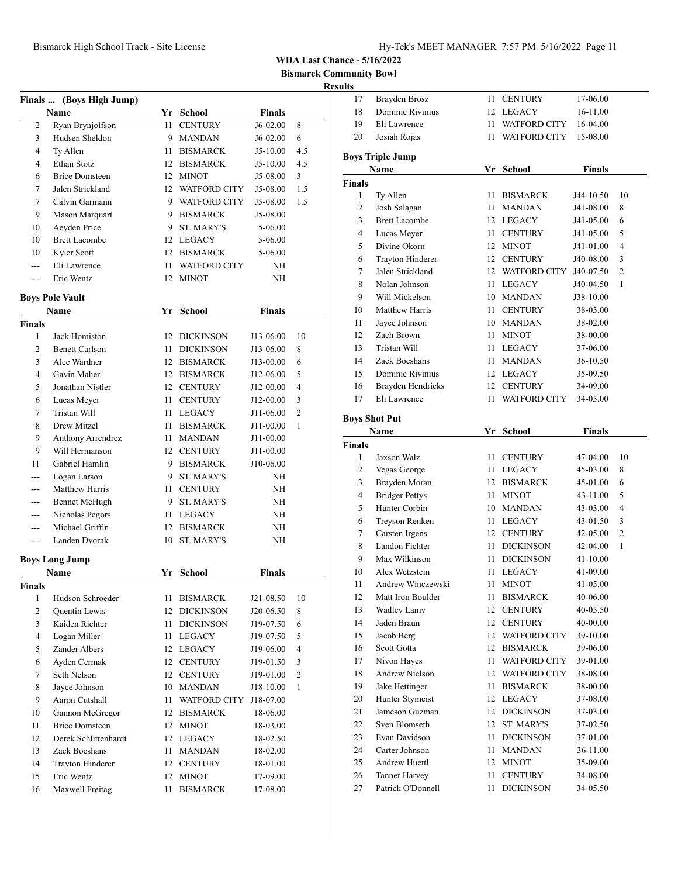**Bismarck Community Bowl**

|                | Finals  (Boys High Jump)       |      |                     |                    |                |
|----------------|--------------------------------|------|---------------------|--------------------|----------------|
|                | Name                           |      | Yr School           | <b>Finals</b>      |                |
| 2              | Ryan Brynjolfson               | 11   | <b>CENTURY</b>      | J6-02.00           | 8              |
| 3              | Hudsen Sheldon                 |      | 9 MANDAN            | J6-02.00           | 6              |
| 4              | Ty Allen                       |      | 11 BISMARCK         | $J5-10.00$         | 4.5            |
| $\overline{4}$ | Ethan Stotz                    |      | 12 BISMARCK         | J5-10.00           | 4.5            |
| 6              | <b>Brice Domsteen</b>          |      | 12 MINOT            | J5-08.00           | 3              |
| 7              | Jalen Strickland               |      | 12 WATFORD CITY     | J5-08.00           | 1.5            |
| 7              | Calvin Garmann                 |      | 9 WATFORD CITY      | J5-08.00           | 1.5            |
| 9              |                                |      | 9 BISMARCK          | J5-08.00           |                |
| 10             | Mason Marquart<br>Aeyden Price |      | 9 ST. MARY'S        |                    |                |
| 10             | <b>Brett Lacombe</b>           |      | 12 LEGACY           | 5-06.00<br>5-06.00 |                |
|                |                                |      |                     |                    |                |
| 10             | Kyler Scott                    |      | 12 BISMARCK         | 5-06.00            |                |
| $\overline{a}$ | Eli Lawrence                   | 11 - | <b>WATFORD CITY</b> | NH                 |                |
| $---$          | Eric Wentz                     | 12   | <b>MINOT</b>        | ΝH                 |                |
|                | <b>Boys Pole Vault</b>         |      |                     |                    |                |
|                | Name                           |      | Yr School           | <b>Finals</b>      |                |
| Finals         |                                |      |                     |                    |                |
| 1              | Jack Homiston                  |      | 12 DICKINSON        | J13-06.00          | 10             |
| 2              | <b>Benett Carlson</b>          | 11   | <b>DICKINSON</b>    | J13-06.00          | 8              |
| 3              | Alec Wardner                   |      | 12 BISMARCK         | J13-00.00          | 6              |
| 4              | Gavin Maher                    |      | 12 BISMARCK         | J12-06.00          | 5              |
| 5              | Jonathan Nistler               |      | 12 CENTURY          | J12-00.00          | 4              |
| 6              | Lucas Meyer                    |      | 11 CENTURY          | J12-00.00          | 3              |
| 7              | Tristan Will                   |      | 11 LEGACY           | J11-06.00          | $\overline{c}$ |
| 8              | Drew Mitzel                    |      | 11 BISMARCK         | J11-00.00          | 1              |
| 9              | <b>Anthony Arrendrez</b>       |      | 11 MANDAN           | J11-00.00          |                |
| 9              | Will Hermanson                 |      | 12 CENTURY          | J11-00.00          |                |
| 11             | Gabriel Hamlin                 | 9.   | <b>BISMARCK</b>     | J10-06.00          |                |
| $---$          | Logan Larson                   | 9.   | <b>ST. MARY'S</b>   | NH                 |                |
|                | Matthew Harris                 | 11 - | <b>CENTURY</b>      | NΗ                 |                |
| ---            | <b>Bennet McHugh</b>           |      | 9 ST. MARY'S        | NΗ                 |                |
| ---            | Nicholas Pegors                |      | 11 LEGACY           | ΝH                 |                |
| ---            | Michael Griffin                |      | 12 BISMARCK         | ΝH                 |                |
| ---            | Landen Dvorak                  | 10   | ST. MARY'S          | ΝH                 |                |
|                |                                |      |                     |                    |                |
|                | <b>Boys Long Jump</b>          |      |                     |                    |                |
|                | Name                           |      | Yr School           | <b>Finals</b>      |                |
| <b>Finals</b>  |                                |      |                     |                    |                |
| 1              | Hudson Schroeder               | 11   | <b>BISMARCK</b>     | J21-08.50          | 10             |
| $\overline{c}$ | Quentin Lewis                  |      | 12 DICKINSON        | J20-06.50          | 8              |
| 3              | Kaiden Richter                 | 11   | <b>DICKINSON</b>    | J19-07.50          | 6              |
| 4              | Logan Miller                   | 11   | <b>LEGACY</b>       | J19-07.50          | 5              |
| 5              | Zander Albers                  |      | 12 LEGACY           | J19-06.00          | 4              |
| 6              | Ayden Cermak                   | 12   | <b>CENTURY</b>      | J19-01.50          | 3              |
| 7              | Seth Nelson                    | 12   | <b>CENTURY</b>      | J19-01.00          | 2              |
| 8              | Jayce Johnson                  |      | 10 MANDAN           | J18-10.00          | 1              |
| 9              | Aaron Cutshall                 | 11   | <b>WATFORD CITY</b> | J18-07.00          |                |
| 10             | Gannon McGregor                | 12   | <b>BISMARCK</b>     | 18-06.00           |                |
| 11             | <b>Brice Domsteen</b>          |      | 12 MINOT            | 18-03.00           |                |
| 12             | Derek Schlittenhardt           |      | 12 LEGACY           | 18-02.50           |                |
| 13             | Zack Boeshans                  | 11   | <b>MANDAN</b>       | 18-02.00           |                |
| 14             | Trayton Hinderer               |      | 12 CENTURY          | 18-01.00           |                |
| 15             | Eric Wentz                     |      | 12 MINOT            | 17-09.00           |                |
| 16             | Maxwell Freitag                | 11   | <b>BISMARCK</b>     | 17-08.00           |                |

| 17                   | Brayden Brosz            | 11   | <b>CENTURY</b>      | 17-06.00      |                |
|----------------------|--------------------------|------|---------------------|---------------|----------------|
| 18                   | Dominic Rivinius         | 12   | LEGACY              | 16-11.00      |                |
| 19                   | Eli Lawrence             | 11 - | <b>WATFORD CITY</b> | 16-04.00      |                |
| 20                   | Josiah Rojas             | 11 - | <b>WATFORD CITY</b> | 15-08.00      |                |
|                      | <b>Boys Triple Jump</b>  |      |                     |               |                |
|                      | Name                     | Yr   | <b>School</b>       | <b>Finals</b> |                |
| <b>Finals</b>        |                          |      |                     |               |                |
| 1                    | Ty Allen                 | 11   | <b>BISMARCK</b>     | J44-10.50     | 10             |
| 2                    | Josh Salagan             | 11   | <b>MANDAN</b>       | J41-08.00     | 8              |
| 3                    | <b>Brett Lacombe</b>     |      | 12 LEGACY           | J41-05.00     | 6              |
| 4                    | Lucas Meyer              | 11 - | <b>CENTURY</b>      | J41-05.00     | 5              |
| 5                    | Divine Okorn             |      | 12 MINOT            | J41-01.00     | 4              |
| 6                    | <b>Trayton Hinderer</b>  |      | 12 CENTURY          | J40-08.00     | 3              |
| 7                    | Jalen Strickland         |      | 12 WATFORD CITY     | J40-07.50     | 2              |
| 8                    | Nolan Johnson            | 11 - | LEGACY              | J40-04.50     | 1              |
| 9                    | Will Mickelson           |      | 10 MANDAN           | J38-10.00     |                |
| 10                   | <b>Matthew Harris</b>    | 11 - | <b>CENTURY</b>      | 38-03.00      |                |
| 11                   | Jayce Johnson            |      | 10 MANDAN           | 38-02.00      |                |
| 12                   | Zach Brown               | 11 - | <b>MINOT</b>        | 38-00.00      |                |
| 13                   | Tristan Will             | 11 - | <b>LEGACY</b>       | 37-06.00      |                |
| 14                   | Zack Boeshans            | 11 - | <b>MANDAN</b>       | 36-10.50      |                |
| 15                   | Dominic Rivinius         |      | 12 LEGACY           | 35-09.50      |                |
| 16                   | <b>Brayden Hendricks</b> |      | 12 CENTURY          | 34-09.00      |                |
| 17                   | Eli Lawrence             | 11   | WATFORD CITY        | 34-05.00      |                |
| <b>Boys Shot Put</b> |                          |      |                     |               |                |
|                      | Name                     | Yr   | <b>School</b>       | <b>Finals</b> |                |
| <b>Finals</b>        |                          |      |                     |               |                |
| 1                    | Jaxson Walz              | 11   | <b>CENTURY</b>      | 47-04.00      | 10             |
| 2                    | Vegas George             | 11 - | <b>LEGACY</b>       | 45-03.00      | 8              |
| 3                    | Brayden Moran            |      | 12 BISMARCK         | 45-01.00      | 6              |
| 4                    | <b>Bridger Pettys</b>    | 11 - | <b>MINOT</b>        | 43-11.00      | 5              |
| 5                    | Hunter Corbin            |      | 10 MANDAN           | 43-03.00      | 4              |
| 6                    | Treyson Renken           | 11 - | LEGACY              | 43-01.50      | 3              |
| 7                    |                          |      |                     |               |                |
| 8                    | Carsten Irgens           |      | 12 CENTURY          | 42-05.00      | $\overline{c}$ |
|                      | Landon Fichter           |      | 11 DICKINSON        | 42-04.00      | 1              |
| 9                    | Max Wilkinson            | 11 - | <b>DICKINSON</b>    | 41-10.00      |                |
| 10                   | Alex Wetzstein           | 11 - | LEGACY              | 41-09.00      |                |
| 11                   | Andrew Winczewski        | 11   | <b>MINOT</b>        | 41-05.00      |                |
| 12                   | Matt Iron Boulder        | 11   | <b>BISMARCK</b>     | 40-06.00      |                |
| 13                   | <b>Wadley Lamy</b>       | 12   | <b>CENTURY</b>      | 40-05.50      |                |
| 14                   | Jaden Braun              | 12   | <b>CENTURY</b>      | 40-00.00      |                |
| 15                   | Jacob Berg               | 12   | <b>WATFORD CITY</b> | 39-10.00      |                |
| 16                   | Scott Gotta              | 12   | <b>BISMARCK</b>     | 39-06.00      |                |
| 17                   | Nivon Hayes              | 11   | <b>WATFORD CITY</b> | 39-01.00      |                |
| 18                   | <b>Andrew Nielson</b>    |      | 12 WATFORD CITY     | 38-08.00      |                |
| 19                   | Jake Hettinger           | 11   | <b>BISMARCK</b>     | 38-00.00      |                |
| 20                   | Hunter Stymeist          |      | 12 LEGACY           | 37-08.00      |                |
| 21                   | Jameson Guzman           |      | 12 DICKINSON        | 37-03.00      |                |
| 22                   | Sven Blomseth            | 12   | ST. MARY'S          | 37-02.50      |                |
| 23                   | Evan Davidson            | 11   | <b>DICKINSON</b>    | 37-01.00      |                |
| 24                   | Carter Johnson           | 11   | <b>MANDAN</b>       | 36-11.00      |                |
| 25                   | Andrew Huettl            | 12   | <b>MINOT</b>        | 35-09.00      |                |
| 26                   | <b>Tanner Harvey</b>     | 11   | <b>CENTURY</b>      | 34-08.00      |                |
| 27                   | Patrick O'Donnell        | 11   | <b>DICKINSON</b>    | 34-05.50      |                |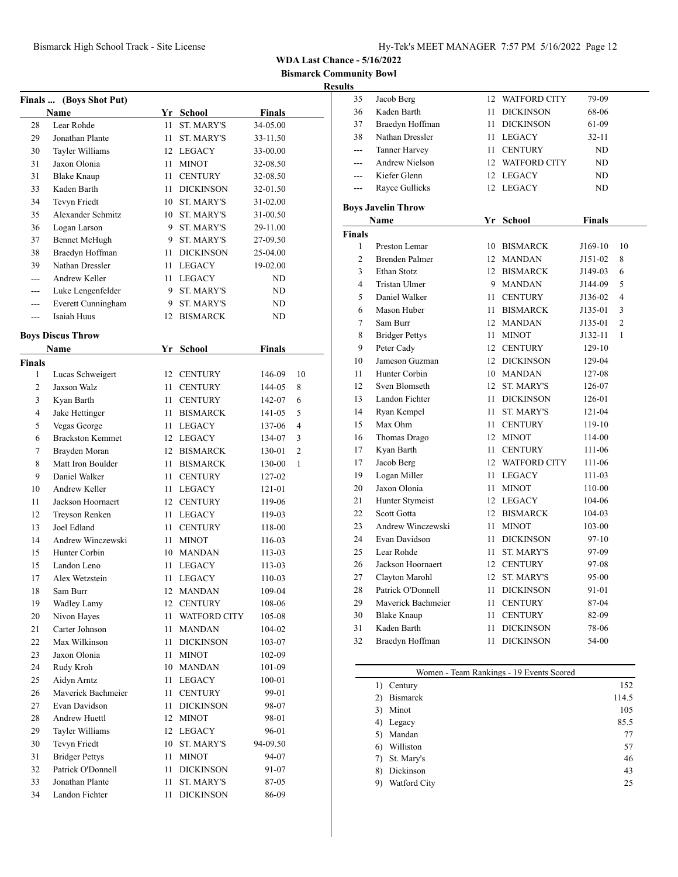**Bismarck Community Bowl**

## **Results**

-

|               | (Boys Shot Put)                 |      |                     |               |                |
|---------------|---------------------------------|------|---------------------|---------------|----------------|
| <b>Finals</b> | <b>Name</b>                     |      | Yr School           | <b>Finals</b> |                |
| 28            | Lear Rohde                      | 11   | <b>ST. MARY'S</b>   | 34-05.00      |                |
| 29            | Jonathan Plante                 | 11   | <b>ST. MARY'S</b>   | 33-11.50      |                |
| 30            |                                 |      | 12 LEGACY           | 33-00.00      |                |
| 31            | Tayler Williams<br>Jaxon Olonia | 11 - | <b>MINOT</b>        | 32-08.50      |                |
| 31            |                                 | 11 - |                     |               |                |
|               | Blake Knaup                     |      | <b>CENTURY</b>      | 32-08.50      |                |
| 33            | Kaden Barth                     | 11   | <b>DICKINSON</b>    | 32-01.50      |                |
| 34            | Tevyn Friedt                    |      | 10 ST. MARY'S       | 31-02.00      |                |
| 35            | <b>Alexander Schmitz</b>        |      | 10 ST. MARY'S       | 31-00.50      |                |
| 36            | Logan Larson                    |      | 9 ST. MARY'S        | 29-11.00      |                |
| 37            | <b>Bennet McHugh</b>            |      | 9 ST. MARY'S        | 27-09.50      |                |
| 38            | Braedyn Hoffman                 | 11   | <b>DICKINSON</b>    | 25-04.00      |                |
| 39            | Nathan Dressler                 |      | 11 LEGACY           | 19-02.00      |                |
| ---           | Andrew Keller                   | 11   | LEGACY              | ND            |                |
| ---           | Luke Lengenfelder               | 9    | ST. MARY'S          | ND            |                |
| ---           | Everett Cunningham              | 9    | ST. MARY'S          | ND            |                |
| ---           | Isaiah Huus                     | 12   | <b>BISMARCK</b>     | ND            |                |
|               | <b>Boys Discus Throw</b>        |      |                     |               |                |
|               | <b>Name</b>                     | Yr   | School              | <b>Finals</b> |                |
| <b>Finals</b> |                                 |      |                     |               |                |
| 1             | Lucas Schweigert                |      | 12 CENTURY          | 146-09        | 10             |
| 2             | Jaxson Walz                     | 11   | <b>CENTURY</b>      | 144-05        | 8              |
| 3             | Kyan Barth                      | 11 - | <b>CENTURY</b>      | 142-07        | 6              |
| 4             | Jake Hettinger                  | 11 - | <b>BISMARCK</b>     | 141-05        | 5              |
| 5             | Vegas George                    |      | 11 LEGACY           | 137-06        | $\overline{4}$ |
| 6             | <b>Brackston Kemmet</b>         |      | 12 LEGACY           | 134-07        | 3              |
| 7             | Brayden Moran                   |      | 12 BISMARCK         | 130-01        | 2              |
| 8             | Matt Iron Boulder               | 11   | <b>BISMARCK</b>     | 130-00        | 1              |
| 9             | Daniel Walker                   | 11 - | <b>CENTURY</b>      | 127-02        |                |
| 10            | Andrew Keller                   | 11 - | <b>LEGACY</b>       | 121-01        |                |
| 11            | Jackson Hoornaert               |      | 12 CENTURY          | 119-06        |                |
| 12            | Treyson Renken                  |      | 11 LEGACY           | 119-03        |                |
| 13            | Joel Edland                     | 11 - | <b>CENTURY</b>      | 118-00        |                |
| 14            | Andrew Winczewski               |      | 11 MINOT            | 116-03        |                |
| 15            | Hunter Corbin                   |      | 10 MANDAN           | 113-03        |                |
| 15            | Landon Leno                     | 11   | <b>LEGACY</b>       | 113-03        |                |
| 17            | Alex Wetzstein                  | 11   | <b>LEGACY</b>       | 110-03        |                |
| 18            | Sam Burr                        | 12   | <b>MANDAN</b>       | 109-04        |                |
| 19            | <b>Wadley Lamy</b>              | 12   | <b>CENTURY</b>      | 108-06        |                |
| 20            | Nivon Hayes                     | 11   | <b>WATFORD CITY</b> | 105-08        |                |
| 21            | Carter Johnson                  | 11   | <b>MANDAN</b>       | 104-02        |                |
| 22            | Max Wilkinson                   | 11   | <b>DICKINSON</b>    | 103-07        |                |
| 23            | Jaxon Olonia                    | 11   | <b>MINOT</b>        | 102-09        |                |
| 24            | Rudy Kroh                       |      | 10 MANDAN           | 101-09        |                |
| 25            | Aidyn Arntz                     | 11   | LEGACY              | 100-01        |                |
| 26            | Maverick Bachmeier              | 11   | <b>CENTURY</b>      | 99-01         |                |
| 27            | Evan Davidson                   | 11   | <b>DICKINSON</b>    | 98-07         |                |
| 28            | <b>Andrew Huettl</b>            | 12   | <b>MINOT</b>        | 98-01         |                |
| 29            | Tayler Williams                 | 12   | LEGACY              | 96-01         |                |
| 30            | Tevyn Friedt                    | 10   | ST. MARY'S          | 94-09.50      |                |
| 31            | <b>Bridger Pettys</b>           | 11   | MINOT               | 94-07         |                |
| 32            | Patrick O'Donnell               | 11   | <b>DICKINSON</b>    | 91-07         |                |
| 33            | Jonathan Plante                 | 11   | ST. MARY'S          | 87-05         |                |
| 34            | Landon Fichter                  | 11   | <b>DICKINSON</b>    | 86-09         |                |
|               |                                 |      |                     |               |                |

| 35             | Jacob Berg                | 12   | <b>WATFORD CITY</b> | 79-09         |                |
|----------------|---------------------------|------|---------------------|---------------|----------------|
| 36             | Kaden Barth               | 11   | <b>DICKINSON</b>    | 68-06         |                |
| 37             | Braedyn Hoffman           | 11   | <b>DICKINSON</b>    | 61-09         |                |
| 38             | Nathan Dressler           | 11 - | <b>LEGACY</b>       | $32 - 11$     |                |
| ---            | <b>Tanner Harvey</b>      | 11 - | <b>CENTURY</b>      | ND            |                |
| $---$          | <b>Andrew Nielson</b>     |      | 12 WATFORD CITY     | ND            |                |
| ---            | Kiefer Glenn              |      | 12 LEGACY           | ND            |                |
| $---$          | Rayce Gullicks            |      | 12 LEGACY           | ND            |                |
|                | <b>Boys Javelin Throw</b> |      |                     |               |                |
|                | Name                      |      | Yr School           | <b>Finals</b> |                |
| <b>Finals</b>  |                           |      |                     |               |                |
| 1              | Preston Lemar             |      | 10 BISMARCK         | J169-10       | 10             |
| $\overline{2}$ | <b>Brenden Palmer</b>     |      | 12 MANDAN           | J151-02       | 8              |
| 3              | Ethan Stotz               |      | 12 BISMARCK         | J149-03       | 6              |
| $\overline{4}$ | <b>Tristan Ulmer</b>      |      | 9 MANDAN            | J144-09       | 5              |
| 5              | Daniel Walker             | 11 - | <b>CENTURY</b>      | J136-02       | 4              |
| 6              | Mason Huber               | 11   | <b>BISMARCK</b>     | J135-01       | 3              |
| $\tau$         | Sam Burr                  |      | 12 MANDAN           | J135-01       | $\overline{2}$ |
| 8              | <b>Bridger Pettys</b>     | 11   | <b>MINOT</b>        | J132-11       | $\mathbf{1}$   |
| 9              | Peter Cady                |      | 12 CENTURY          | 129-10        |                |
| 10             | Jameson Guzman            |      | 12 DICKINSON        | 129-04        |                |
| 11             | Hunter Corbin             |      | 10 MANDAN           | 127-08        |                |
| 12             | Sven Blomseth             | 12   | <b>ST. MARY'S</b>   | 126-07        |                |
| 13             | Landon Fichter            | 11.  | <b>DICKINSON</b>    | 126-01        |                |
| 14             | Ryan Kempel               | 11   | <b>ST. MARY'S</b>   | 121-04        |                |
| 15             | Max Ohm                   | 11 - | <b>CENTURY</b>      | 119-10        |                |
| 16             | Thomas Drago              |      | 12 MINOT            | 114-00        |                |
| 17             | Kyan Barth                | 11   | <b>CENTURY</b>      | 111-06        |                |
| 17             | Jacob Berg                |      | 12 WATFORD CITY     | 111-06        |                |
| 19             | Logan Miller              | 11   | <b>LEGACY</b>       | 111-03        |                |
| 20             | Jaxon Olonia              | 11 - | <b>MINOT</b>        | 110-00        |                |
| 21             | Hunter Stymeist           |      | 12 LEGACY           | 104-06        |                |
| 22             | <b>Scott Gotta</b>        |      | 12 BISMARCK         | 104-03        |                |
| 23             | Andrew Winczewski         | 11   | <b>MINOT</b>        | 103-00        |                |
| 24             | Evan Davidson             | 11   | <b>DICKINSON</b>    | 97-10         |                |
| 25             | Lear Rohde                | 11   | ST. MARY'S          | 97-09         |                |
| 26             | Jackson Hoornaert         |      | 12 CENTURY          | 97-08         |                |
| 27             | Clayton Marohl            | 12   | <b>ST. MARY'S</b>   | 95-00         |                |
| 28             | Patrick O'Donnell         | 11 - | <b>DICKINSON</b>    | 91-01         |                |
| 29             | Maverick Bachmeier        | 11 - | <b>CENTURY</b>      | 87-04         |                |
| 30             | <b>Blake Knaup</b>        | 11   | <b>CENTURY</b>      | 82-09         |                |
| 31             | Kaden Barth               | 11   | <b>DICKINSON</b>    | 78-06         |                |
| 32             | Braedyn Hoffman           | 11   | <b>DICKINSON</b>    | 54-00         |                |
|                |                           |      |                     |               |                |

|    | Women - Team Rankings - 19 Events Scored |       |
|----|------------------------------------------|-------|
| 1) | Century                                  | 152   |
| 2) | <b>Bismarck</b>                          | 114.5 |
| 3) | Minot                                    | 105   |
| 4) | Legacy                                   | 85.5  |
| 5) | Mandan                                   | 77    |
| 6) | Williston                                | 57    |
| 7) | St. Mary's                               | 46    |
| 8) | Dickinson                                | 43    |
| 9) | Watford City                             | 25    |
|    |                                          |       |